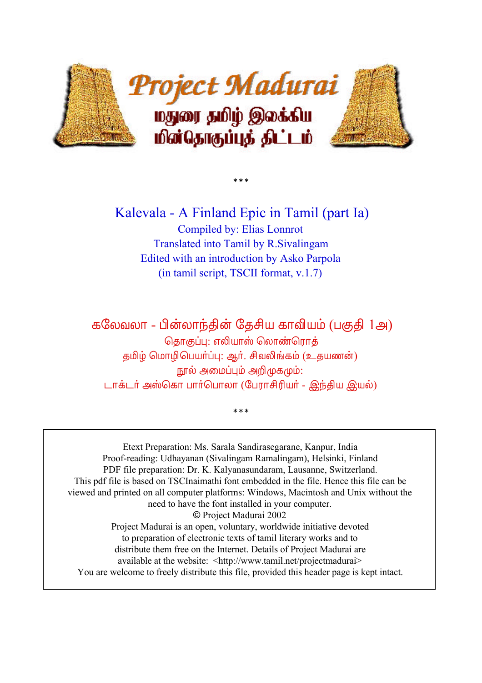

 Kalevala - A Finland Epic in Tamil (part Ia) Compiled by: Elias Lonnrot Translated into Tamil by R.Sivalingam Edited with an introduction by Asko Parpola (in tamil script, TSCII format, v.1.7)

 $* * *$ 

கலேவலா - பின்லாந்தின் தேசிய காவியம் (பகுதி 1அ) தொகுப்பு: எலியாஸ் லொண்ரொ<mark>க்</mark> தமிழ் மொழிபெயர்ப்பு: ஆர். சிவலிங்கம் (உதயணன்) நூல் அமைப்பும் அறிமுகமும்: டாக்டர் அஸ்கொ பார்பொலா (பேராசிரியர் - இந்திய இயல்)

 $***$ 

Etext Preparation: Ms. Sarala Sandirasegarane, Kanpur, India Proof-reading: Udhayanan (Sivalingam Ramalingam), Helsinki, Finland PDF file preparation: Dr. K. Kalyanasundaram, Lausanne, Switzerland. This pdf file is based on TSCInaimathi font embedded in the file. Hence this file can be viewed and printed on all computer platforms: Windows, Macintosh and Unix without the need to have the font installed in your computer. © Project Madurai 2002 Project Madurai is an open, voluntary, worldwide initiative devoted to preparation of electronic texts of tamil literary works and to distribute them free on the Internet. Details of Project Madurai are available at the website: <http://www.tamil.net/projectmadurai> You are welcome to freely distribute this file, provided this header page is kept intact.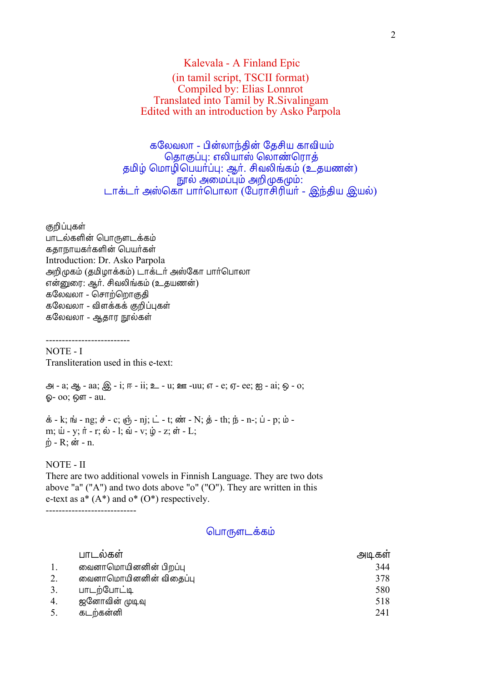# Kalevala - A Finland Epic (in tamil script, TSCII format) Compiled by: Elias Lonnrot Translated into Tamil by R.Sivalingam Edited with an introduction by Asko Parpola

கலேவலா - பின்லாந்தின் தேசிய காவியம் தொகுப்பு: எலியாஸ் லொண்ரொத் தமிழ் மொழிபெயா்ப்பு: ஆா். சிவலிங்கம் (உதயணன்) .<br>நால் அமைப்பும் அறிமுகமும்: டாக்டர் அஸ்கொ பார்பொலா (பேராசிரியர் - இந்திய இயல்)

குறிப்புகள் பாடல்களின் பொருளடக்கம் கதாநாயகர்களின் பெயர்கள் Introduction: Dr. Asko Parpola அறிமுகம் (தமிழாக்கம்) டாக்டர் அஸ்கோ பார்பொலா என்னுரை: ஆர். சிவலிங்கம் (உதயணன்) கலேவலா - சொற்றொகுதி கலேவலா - விளக்கக் குறிப்புகள் கலேவலா - ஆதார நூல்கள்

NOTE - I Transliteration used in this e-text:

--------------------------

 $\Theta$  - a;  $\Theta$  - aa;  $\widehat{\Theta}$  - i;  $F - i$ i;  $\Sigma$  - u;  $\Omega$  - uu;  $\sigma$  - e;  $\sigma$ - ee;  $\mathfrak{B}$  - ai;  $\widehat{\omega}$  - o; ஓ- oo; ஔ - au.

 $\dot{\Phi}$  - k;  $\dot{\text{m}}$  - ng;  $\dot{\theta}$  - c;  $\dot{\phi}$  - nj;  $\dot{\text{L}}$  - t;  $\dot{\phi}$  - N;  $\dot{\phi}$  - th;  $\dot{\text{p}}$  - n-;  $\dot{\text{u}}$  - p;  $\dot{\text{w}}$  m;  $\dot{u}$  - y;  $\dot{\pi}$  - r;  $\dot{\omega}$  - l;  $\dot{u}$  - v;  $\dot{\psi}$  - z;  $\dot{\pi}$  - L;  $\dot{p}$  - R; ன் - n.

#### NOTE - II

There are two additional vowels in Finnish Language. They are two dots above "a" ("A") and two dots above "o" ("O"). They are written in this e-text as  $a^*$  (A\*) and  $o^*$  (O\*) respectively. ----------------------------

#### பொருளடக்கம்

| பாடலகள                 | அடிகள |
|------------------------|-------|
| வைனாமொயினனின் பிறப்பு  | 344   |
| வைனாமொயினனின் விதைப்பு | 378   |
| பாடற்போட்டி            | 580   |
| ஜனோவின் முடிவு         | 518   |
| கடற்கன்னி              | 241   |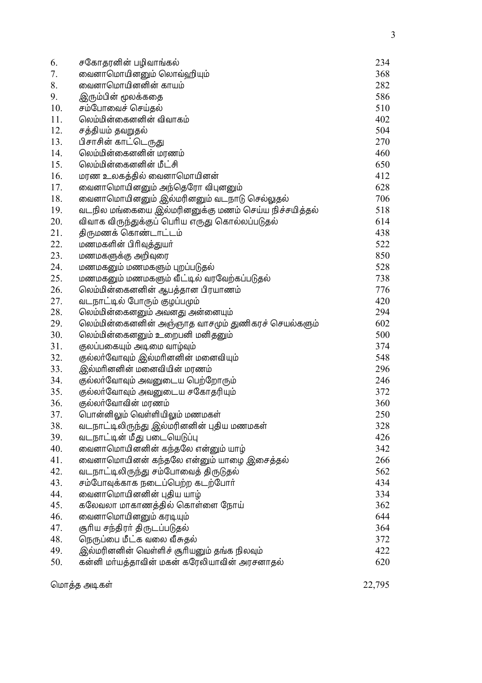| 6.           | சகோதரனின் பழிவாங்கல்                                | 234    |
|--------------|-----------------------------------------------------|--------|
| 7.           | வைனாமொயினனும் லொவ்ஹியும்                            | 368    |
| 8.           | வைனாமொயினனின் காயம்                                 | 282    |
| 9.           | இரும்பின் மூலக்கதை                                  | 586    |
| 10.          | சம்போவைச் செய்தல்                                   | 510    |
| 11.          | லெம்மின்கைனனின் விவாகம்                             | 402    |
| 12.          | சத்தியம் தவறுதல்                                    | 504    |
| 13.          | பிசாசின் காட்டெருது                                 | 270    |
| 14.          | லெம்மின்கைனனின் மரணம்                               | 460    |
| 15.          | லெம்மின்கைனனின் மீட்சி                              | 650    |
| 16.          | மரண உலகத்தில் வைனாமொயினன்                           | 412    |
| 17.          | வைனாமொயினனும் அந்தெரோ விபுனனும்                     | 628    |
| 18.          | வைனாமொயினனும் இல்மரினனும் வடநாடு செல்லுதல்          | 706    |
| 19.          | வடநில மங்கையை இல்மரினனுக்கு மணம் செய்ய நிச்சயித்தல் | 518    |
| 20.          | விவாக விருந்துக்குப் பெரிய எருது கொல்லப்படுதல்      | 614    |
| 21.          | திருமணக் கொண்டாட்டம்                                | 438    |
| 22.          | மணமகளின் பிரிவுத்துயர்                              | 522    |
| 23.          | மணமகளுக்கு அறிவுரை                                  | 850    |
| 24.          | மணமகனும் மணமகளும் புறப்படுதல்                       | 528    |
| 25.          | மணமகனும் மணமகளும் வீட்டில் வரவேற்கப்படுதல்          | 738    |
| 26.          | லெம்மின்கைனனின் ஆபத்தான பிரயாணம்                    | 776    |
| 27.          | வடநாட்டில் போரும் குழப்பமும்                        | 420    |
| 28.          | லெம்மின்கைனனும் அவனது அன்னையும்                     | 294    |
| 29.          | லெம்மின்கைனனின் அஞ்ஞாத வாசமும் துணிகரச் செயல்களும்  | 602    |
| 30.          | லெம்மின்கைனனும் உறைபனி மனிதனும்                     | 500    |
| 31.          | குலப்பகையும் அடிமை வாழ்வும்                         | 374    |
| 32.          | குல்லா்வோவும் இல்மாினனின் மனைவியும்                 | 548    |
| 33.          | இல்மரினனின் மனைவியின் மரணம்                         | 296    |
| 34.          | குல்லா்வோவும் அவனுடைய பெற்றோரும்                    | 246    |
| 35.          | குல்லா்வோவும் அவனுடைய சகோதரியும்                    | 372    |
| 36.          | குல்லா்வோவின் மரணம்                                 | 360    |
| 37.          | பொன்னிலும் வெள்ளியிலும் மணமகள்                      | 250    |
| 38.          | வடநாட்டிலிருந்து இல்மரினனின் புதிய மணமகள்           | 328    |
| 39.          | வடநாட்டின் மீது படையெடுப்பு                         | 426    |
| 40.          | வைனாமொயினனின் கந்தலே என்னும் யாழ்                   | 342    |
| 41.          | வைனாமொயினன் கந்தலே என்னும் யாழை இசைத்தல்            | 266    |
| 42.          | வடநாட்டிலிருந்து சம்போவைத் திருடுதல்                | 562    |
| 43.          | சம்போவுக்காக நடைப்பெற்ற கடற்போர்                    | 434    |
| 44.          | வைனாமொயினனின் புதிய யாழ்                            | 334    |
| 45.          | கலேவலா மாகாணத்தில் கொள்ளை நோய்                      | 362    |
| 46.          | வைனாமொயினனும் கரடியும்                              | 644    |
| 47.          | சூரிய சந்திரா் திருடப்படுதல்                        | 364    |
| 48.          | நெருப்பை மீட்க வலை வீசுதல்                          | 372    |
| 49.          | இல்மரினனின் வெள்ளிச் சூரியனும் தங்க நிலவும்         | 422    |
| 50.          | கன்னி மர்யத்தாவின் மகன் கரேலியாவின் அரசனாதல்        | 620    |
| மொத்த அடிகள் |                                                     | 22,795 |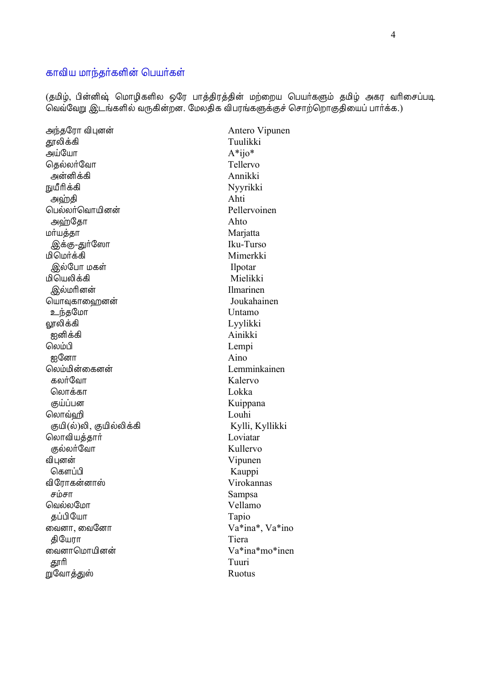## காவிய மாந்தர்களின் பெயர்கள்

(தமிழ், பின்னிஷ் மொழிகளில ஒரே பாத்திரத்தின் மற்றைய பெயர்களும் தமிழ் அகர வரிசைப்படி வெவ்வேறு இடங்களில் வருகின்றன. மேலதிக விபரங்களுக்குச் சொற்றொகுதியைப் பார்க்க.)

அந்தரோ விபுனன் தூலிக்கி அய்யோ கெல்லா்வோ அன்னிக்கி நுயீரிக்கி அஹ்தி பெல்லா்வொயினன் அஹ்கோ மாயத்தா இக்கு-துர்ஸோ **கெக்π்வ**டும் இல்போ மகள் மியெலிக்கி இல்மரினன் யொவுகாஹைனன் உந்தமோ லூலிக்கி ஐனிக்கி லெம்பி ஐனோ லெம்மின்கைனன் கலர்வோ லொக்கா குய்ப்பன லொவ்வி குயி(ல்)லி, குயில்லிக்கி லொவியத்தார் குல்லா்வோ விபனன் கௌப்பி விரோகன்னாஸ் சம்சா வெல்லமோ கப்பியோ வைனா, வைனோ கியோா வைனாமொயினன் தூரி றுவோத்துஸ்

Antero Vipunen Tuulikki  $A*ijo*$ Tellervo Annikki Nyyrikki Ahti Pellervoinen Ahto Marjatta Iku-Turso Mimerkki Ilpotar Mielikki **Ilmarinen** Joukahainen Untamo Lyylikki Ainikki Lempi Aino Lemminkainen Kalervo Lokka Kuippana Louhi Kylli, Kyllikki Loviatar Kullervo Vipunen Kauppi Virokannas Sampsa Vellamo Tapio Va\*ina\*, Va\*ino Tiera Va\*ina\*mo\*inen Tuuri Ruotus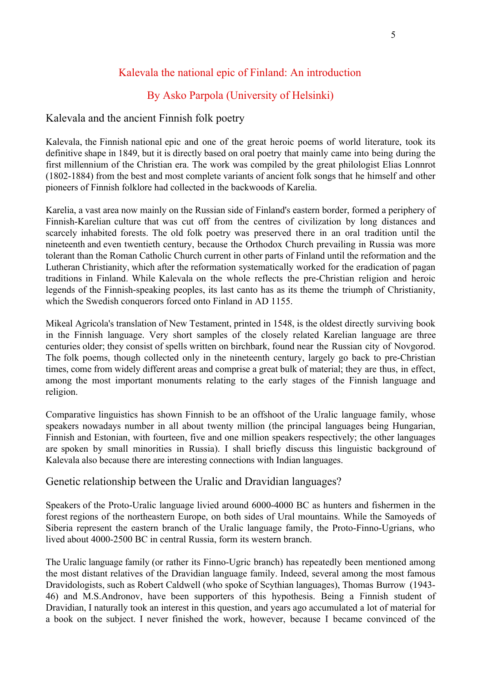# Kalevala the national epic of Finland: An introduction

# By Asko Parpola (University of Helsinki)

# Kalevala and the ancient Finnish folk poetry

Kalevala, the Finnish national epic and one of the great heroic poems of world literature, took its definitive shape in 1849, but it is directly based on oral poetry that mainly came into being during the first millennium of the Christian era. The work was compiled by the great philologist Elias Lonnrot (1802-1884) from the best and most complete variants of ancient folk songs that he himself and other pioneers of Finnish folklore had collected in the backwoods of Karelia.

Karelia, a vast area now mainly on the Russian side of Finland's eastern border, formed a periphery of Finnish-Karelian culture that was cut off from the centres of civilization by long distances and scarcely inhabited forests. The old folk poetry was preserved there in an oral tradition until the nineteenth and even twentieth century, because the Orthodox Church prevailing in Russia was more tolerant than the Roman Catholic Church current in other parts of Finland until the reformation and the Lutheran Christianity, which after the reformation systematically worked for the eradication of pagan traditions in Finland. While Kalevala on the whole reflects the pre-Christian religion and heroic legends of the Finnish-speaking peoples, its last canto has as its theme the triumph of Christianity, which the Swedish conquerors forced onto Finland in AD 1155.

Mikeal Agricola's translation of New Testament, printed in 1548, is the oldest directly surviving book in the Finnish language. Very short samples of the closely related Karelian language are three centuries older; they consist of spells written on birchbark, found near the Russian city of Novgorod. The folk poems, though collected only in the nineteenth century, largely go back to pre-Christian times, come from widely different areas and comprise a great bulk of material; they are thus, in effect, among the most important monuments relating to the early stages of the Finnish language and religion.

Comparative linguistics has shown Finnish to be an offshoot of the Uralic language family, whose speakers nowadays number in all about twenty million (the principal languages being Hungarian, Finnish and Estonian, with fourteen, five and one million speakers respectively; the other languages are spoken by small minorities in Russia). I shall briefly discuss this linguistic background of Kalevala also because there are interesting connections with Indian languages.

### Genetic relationship between the Uralic and Dravidian languages?

Speakers of the Proto-Uralic language livied around 6000-4000 BC as hunters and fishermen in the forest regions of the northeastern Europe, on both sides of Ural mountains. While the Samoyeds of Siberia represent the eastern branch of the Uralic language family, the Proto-Finno-Ugrians, who lived about 4000-2500 BC in central Russia, form its western branch.

The Uralic language family (or rather its Finno-Ugric branch) has repeatedly been mentioned among the most distant relatives of the Dravidian language family. Indeed, several among the most famous Dravidologists, such as Robert Caldwell (who spoke of Scythian languages), Thomas Burrow (1943- 46) and M.S.Andronov, have been supporters of this hypothesis. Being a Finnish student of Dravidian, I naturally took an interest in this question, and years ago accumulated a lot of material for a book on the subject. I never finished the work, however, because I became convinced of the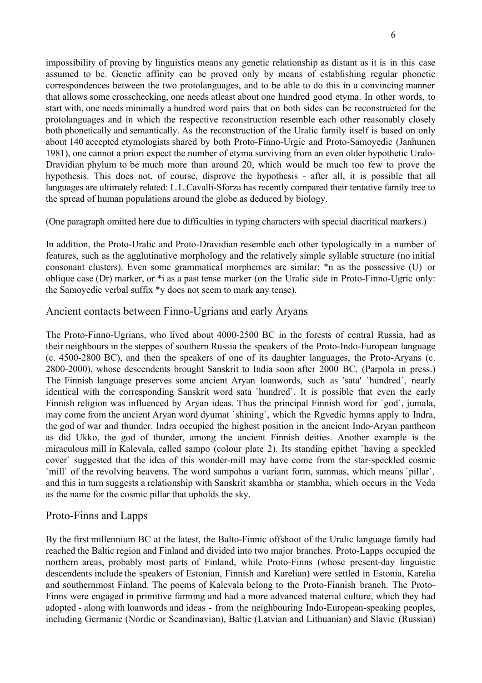impossibility of proving by linguistics means any genetic relationship as distant as it is in this case assumed to be. Genetic affinity can be proved only by means of establishing regular phonetic correspondences between the two protolanguages, and to be able to do this in a convincing manner that allows some crosschecking, one needs atleast about one hundred good etyma. In other words, to start with, one needs minimally a hundred word pairs that on both sides can be reconstructed for the protolanguages and in which the respective reconstruction resemble each other reasonably closely both phonetically and semantically. As the reconstruction of the Uralic family itself is based on only about 140 accepted etymologists shared by both Proto-Finno-Urgic and Proto-Samoyedic (Janhunen 1981), one cannot a priori expect the number of etyma surviving from an even older hypothetic Uralo-Dravidian phylum to be much more than around 20, which would be much too few to prove the hypothesis. This does not, of course, disprove the hypothesis - after all, it is possible that all languages are ultimately related: L.L.Cavalli-Sforza has recently compared their tentative family tree to the spread of human populations around the globe as deduced by biology.

(One paragraph omitted here due to difficulties in typing characters with special diacritical markers.)

In addition, the Proto-Uralic and Proto-Dravidian resemble each other typologically in a number of features, such as the agglutinative morphology and the relatively simple syllable structure (no initial consonant clusters). Even some grammatical morphemes are similar: \*n as the possessive (U) or oblique case (Dr) marker, or \*i as a past tense marker (on the Uralic side in Proto-Finno-Ugric only: the Samoyedic verbal suffix \*y does not seem to mark any tense).

## Ancient contacts between Finno-Ugrians and early Aryans

The Proto-Finno-Ugrians, who lived about 4000-2500 BC in the forests of central Russia, had as their neighbours in the steppes of southern Russia the speakers of the Proto-Indo-European language (c. 4500-2800 BC), and then the speakers of one of its daughter languages, the Proto-Aryans (c. 2800-2000), whose descendents brought Sanskrit to India soon after 2000 BC. (Parpola in press.) The Finnish language preserves some ancient Aryan loanwords, such as 'sata' `hundred`, nearly identical with the corresponding Sanskrit word sata `hundred`. It is possible that even the early Finnish religion was influenced by Aryan ideas. Thus the principal Finnish word for `god`, jumala, may come from the ancient Aryan word dyumat `shining`, which the Rgvedic hymns apply to Indra, the god of war and thunder. Indra occupied the highest position in the ancient Indo-Aryan pantheon as did Ukko, the god of thunder, among the ancient Finnish deities. Another example is the miraculous mill in Kalevala, called sampo (colour plate 2). Its standing epithet `having a speckled cover` suggested that the idea of this wonder-mill may have come from the star-speckled cosmic `mill` of the revolving heavens. The word sampohas a variant form, sammas, which means `pillar`, and this in turn suggests a relationship with Sanskrit skambha or stambha, which occurs in the Veda as the name for the cosmic pillar that upholds the sky.

# Proto-Finns and Lapps

By the first millennium BC at the latest, the Balto-Finnic offshoot of the Uralic language family had reached the Baltic region and Finland and divided into two major branches. Proto-Lapps occupied the northern areas, probably most parts of Finland, while Proto-Finns (whose present-day linguistic descendents include the speakers of Estonian, Finnish and Karelian) were settled in Estonia, Karelia and southernmost Finland. The poems of Kalevala belong to the Proto-Finnish branch. The Proto-Finns were engaged in primitive farming and had a more advanced material culture, which they had adopted - along with loanwords and ideas - from the neighbouring Indo-European-speaking peoples, including Germanic (Nordic or Scandinavian), Baltic (Latvian and Lithuanian) and Slavic (Russian)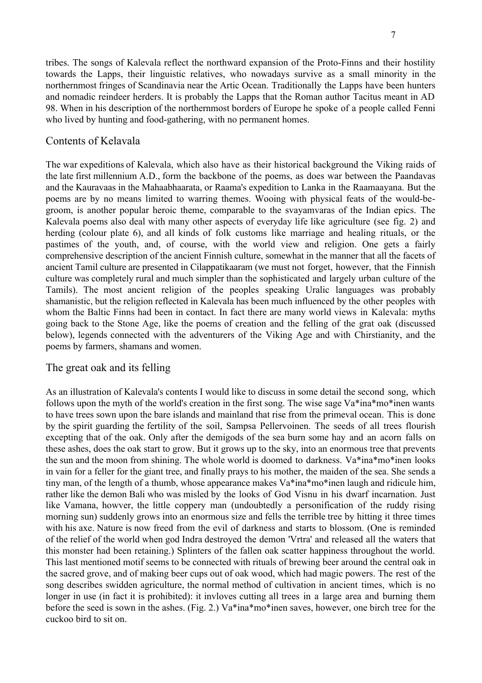tribes. The songs of Kalevala reflect the northward expansion of the Proto-Finns and their hostility towards the Lapps, their linguistic relatives, who nowadays survive as a small minority in the northernmost fringes of Scandinavia near the Artic Ocean. Traditionally the Lapps have been hunters and nomadic reindeer herders. It is probably the Lapps that the Roman author Tacitus meant in AD 98. When in his description of the northernmost borders of Europe he spoke of a people called Fenni who lived by hunting and food-gathering, with no permanent homes.

#### Contents of Kelavala

The war expeditions of Kalevala, which also have as their historical background the Viking raids of the late first millennium A.D., form the backbone of the poems, as does war between the Paandavas and the Kauravaas in the Mahaabhaarata, or Raama's expedition to Lanka in the Raamaayana. But the poems are by no means limited to warring themes. Wooing with physical feats of the would-begroom, is another popular heroic theme, comparable to the svayamvaras of the Indian epics. The Kalevala poems also deal with many other aspects of everyday life like agriculture (see fig. 2) and herding (colour plate 6), and all kinds of folk customs like marriage and healing rituals, or the pastimes of the youth, and, of course, with the world view and religion. One gets a fairly comprehensive description of the ancient Finnish culture, somewhat in the manner that all the facets of ancient Tamil culture are presented in Cilappatikaaram (we must not forget, however, that the Finnish culture was completely rural and much simpler than the sophisticated and largely urban culture of the Tamils). The most ancient religion of the peoples speaking Uralic languages was probably shamanistic, but the religion reflected in Kalevala has been much influenced by the other peoples with whom the Baltic Finns had been in contact. In fact there are many world views in Kalevala: myths going back to the Stone Age, like the poems of creation and the felling of the grat oak (discussed below), legends connected with the adventurers of the Viking Age and with Chirstianity, and the poems by farmers, shamans and women.

#### The great oak and its felling

As an illustration of Kalevala's contents I would like to discuss in some detail the second song, which follows upon the myth of the world's creation in the first song. The wise sage Va\*ina\*mo\*inen wants to have trees sown upon the bare islands and mainland that rise from the primeval ocean. This is done by the spirit guarding the fertility of the soil, Sampsa Pellervoinen. The seeds of all trees flourish excepting that of the oak. Only after the demigods of the sea burn some hay and an acorn falls on these ashes, does the oak start to grow. But it grows up to the sky, into an enormous tree that prevents the sun and the moon from shining. The whole world is doomed to darkness. Va\*ina\*mo\*inen looks in vain for a feller for the giant tree, and finally prays to his mother, the maiden of the sea. She sends a tiny man, of the length of a thumb, whose appearance makes Va\*ina\*mo\*inen laugh and ridicule him, rather like the demon Bali who was misled by the looks of God Visnu in his dwarf incarnation. Just like Vamana, howver, the little coppery man (undoubtedly a personification of the ruddy rising morning sun) suddenly grows into an enormous size and fells the terrible tree by hitting it three times with his axe. Nature is now freed from the evil of darkness and starts to blossom. (One is reminded of the relief of the world when god Indra destroyed the demon 'Vrtra' and released all the waters that this monster had been retaining.) Splinters of the fallen oak scatter happiness throughout the world. This last mentioned motif seems to be connected with rituals of brewing beer around the central oak in the sacred grove, and of making beer cups out of oak wood, which had magic powers. The rest of the song describes swidden agriculture, the normal method of cultivation in ancient times, which is no longer in use (in fact it is prohibited): it invloves cutting all trees in a large area and burning them before the seed is sown in the ashes. (Fig. 2.) Va\*ina\*mo\*inen saves, however, one birch tree for the cuckoo bird to sit on.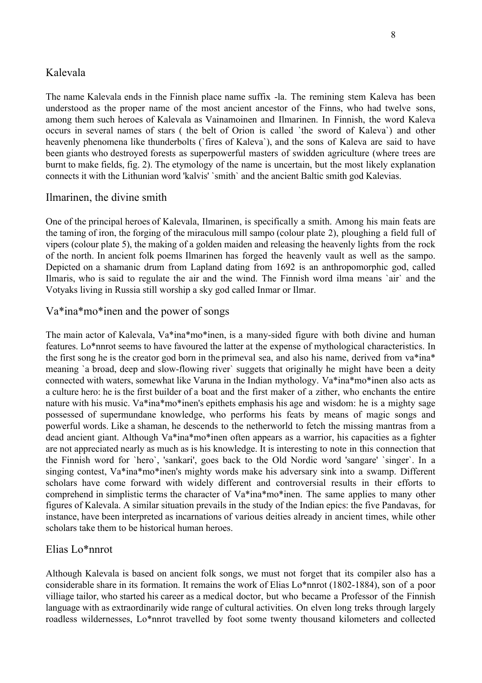## Kalevala

The name Kalevala ends in the Finnish place name suffix -la. The remining stem Kaleva has been understood as the proper name of the most ancient ancestor of the Finns, who had twelve sons, among them such heroes of Kalevala as Vainamoinen and Ilmarinen. In Finnish, the word Kaleva occurs in several names of stars ( the belt of Orion is called `the sword of Kaleva`) and other heavenly phenomena like thunderbolts (`fires of Kaleva`), and the sons of Kaleva are said to have been giants who destroyed forests as superpowerful masters of swidden agriculture (where trees are burnt to make fields, fig. 2). The etymology of the name is uncertain, but the most likely explanation connects it with the Lithunian word 'kalvis' `smith` and the ancient Baltic smith god Kalevias.

## Ilmarinen, the divine smith

One of the principal heroes of Kalevala, Ilmarinen, is specifically a smith. Among his main feats are the taming of iron, the forging of the miraculous mill sampo (colour plate 2), ploughing a field full of vipers (colour plate 5), the making of a golden maiden and releasing the heavenly lights from the rock of the north. In ancient folk poems Ilmarinen has forged the heavenly vault as well as the sampo. Depicted on a shamanic drum from Lapland dating from 1692 is an anthropomorphic god, called Ilmaris, who is said to regulate the air and the wind. The Finnish word ilma means `air` and the Votyaks living in Russia still worship a sky god called Inmar or Ilmar.

# Va\*ina\*mo\*inen and the power of songs

The main actor of Kalevala, Va\*ina\*mo\*inen, is a many-sided figure with both divine and human features. Lo\*nnrot seems to have favoured the latter at the expense of mythological characteristics. In the first song he is the creator god born in the primeval sea, and also his name, derived from va\*ina\* meaning `a broad, deep and slow-flowing river` suggets that originally he might have been a deity connected with waters, somewhat like Varuna in the Indian mythology. Va\*ina\*mo\*inen also acts as a culture hero: he is the first builder of a boat and the first maker of a zither, who enchants the entire nature with his music. Va\*ina\*mo\*inen's epithets emphasis his age and wisdom: he is a mighty sage possessed of supermundane knowledge, who performs his feats by means of magic songs and powerful words. Like a shaman, he descends to the netherworld to fetch the missing mantras from a dead ancient giant. Although Va\*ina\*mo\*inen often appears as a warrior, his capacities as a fighter are not appreciated nearly as much as is his knowledge. It is interesting to note in this connection that the Finnish word for `hero`, 'sankari', goes back to the Old Nordic word 'sangare' `singer`. In a singing contest, Va\*ina\*mo\*inen's mighty words make his adversary sink into a swamp. Different scholars have come forward with widely different and controversial results in their efforts to comprehend in simplistic terms the character of Va\*ina\*mo\*inen. The same applies to many other figures of Kalevala. A similar situation prevails in the study of the Indian epics: the five Pandavas, for instance, have been interpreted as incarnations of various deities already in ancient times, while other scholars take them to be historical human heroes.

# Elias Lo\*nnrot

Although Kalevala is based on ancient folk songs, we must not forget that its compiler also has a considerable share in its formation. It remains the work of Elias Lo\*nnrot (1802-1884), son of a poor villiage tailor, who started his career as a medical doctor, but who became a Professor of the Finnish language with as extraordinarily wide range of cultural activities. On elven long treks through largely roadless wildernesses, Lo\*nnrot travelled by foot some twenty thousand kilometers and collected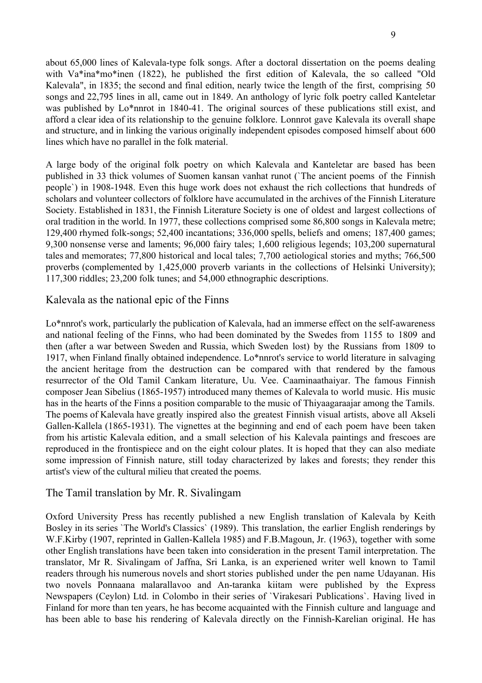about 65,000 lines of Kalevala-type folk songs. After a doctoral dissertation on the poems dealing with Va\*ina\*mo\*inen (1822), he published the first edition of Kalevala, the so calleed "Old Kalevala", in 1835; the second and final edition, nearly twice the length of the first, comprising 50 songs and 22,795 lines in all, came out in 1849. An anthology of lyric folk poetry called Kanteletar was published by Lo\*nnrot in 1840-41. The original sources of these publications still exist, and afford a clear idea of its relationship to the genuine folklore. Lonnrot gave Kalevala its overall shape and structure, and in linking the various originally independent episodes composed himself about 600 lines which have no parallel in the folk material.

A large body of the original folk poetry on which Kalevala and Kanteletar are based has been published in 33 thick volumes of Suomen kansan vanhat runot (`The ancient poems of the Finnish people`) in 1908-1948. Even this huge work does not exhaust the rich collections that hundreds of scholars and volunteer collectors of folklore have accumulated in the archives of the Finnish Literature Society. Established in 1831, the Finnish Literature Society is one of oldest and largest collections of oral tradition in the world. In 1977, these collections comprised some 86,800 songs in Kalevala metre; 129,400 rhymed folk-songs; 52,400 incantations; 336,000 spells, beliefs and omens; 187,400 games; 9,300 nonsense verse and laments; 96,000 fairy tales; 1,600 religious legends; 103,200 supernatural tales and memorates; 77,800 historical and local tales; 7,700 aetiological stories and myths; 766,500 proverbs (complemented by 1,425,000 proverb variants in the collections of Helsinki University); 117,300 riddles; 23,200 folk tunes; and 54,000 ethnographic descriptions.

## Kalevala as the national epic of the Finns

Lo\*nnrot's work, particularly the publication of Kalevala, had an immerse effect on the self-awareness and national feeling of the Finns, who had been dominated by the Swedes from 1155 to 1809 and then (after a war between Sweden and Russia, which Sweden lost) by the Russians from 1809 to 1917, when Finland finally obtained independence. Lo\*nnrot's service to world literature in salvaging the ancient heritage from the destruction can be compared with that rendered by the famous resurrector of the Old Tamil Cankam literature, Uu. Vee. Caaminaathaiyar. The famous Finnish composer Jean Sibelius (1865-1957) introduced many themes of Kalevala to world music. His music has in the hearts of the Finns a position comparable to the music of Thiyaagaraajar among the Tamils. The poems of Kalevala have greatly inspired also the greatest Finnish visual artists, above all Akseli Gallen-Kallela (1865-1931). The vignettes at the beginning and end of each poem have been taken from his artistic Kalevala edition, and a small selection of his Kalevala paintings and frescoes are reproduced in the frontispiece and on the eight colour plates. It is hoped that they can also mediate some impression of Finnish nature, still today characterized by lakes and forests; they render this artist's view of the cultural milieu that created the poems.

# The Tamil translation by Mr. R. Sivalingam

Oxford University Press has recently published a new English translation of Kalevala by Keith Bosley in its series `The World's Classics` (1989). This translation, the earlier English renderings by W.F.Kirby (1907, reprinted in Gallen-Kallela 1985) and F.B.Magoun, Jr. (1963), together with some other English translations have been taken into consideration in the present Tamil interpretation. The translator, Mr R. Sivalingam of Jaffna, Sri Lanka, is an experiened writer well known to Tamil readers through his numerous novels and short stories published under the pen name Udayanan. His two novels Ponnaana malarallavoo and An-taranka kiitam were published by the Express Newspapers (Ceylon) Ltd. in Colombo in their series of `Virakesari Publications`. Having lived in Finland for more than ten years, he has become acquainted with the Finnish culture and language and has been able to base his rendering of Kalevala directly on the Finnish-Karelian original. He has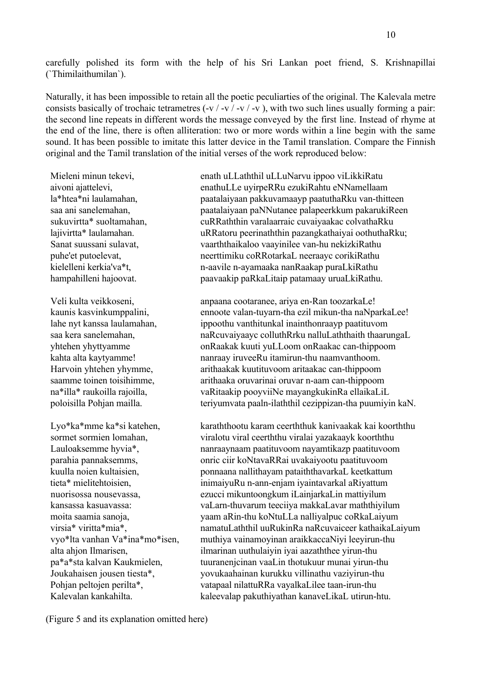carefully polished its form with the help of his Sri Lankan poet friend, S. Krishnapillai (`Thimilaithumilan`).

Naturally, it has been impossible to retain all the poetic peculiarties of the original. The Kalevala metre consists basically of trochaic tetrametres  $(-v / -v / -v / -v)$ , with two such lines usually forming a pair: the second line repeats in different words the message conveyed by the first line. Instead of rhyme at the end of the line, there is often alliteration: two or more words within a line begin with the same sound. It has been possible to imitate this latter device in the Tamil translation. Compare the Finnish original and the Tamil translation of the initial verses of the work reproduced below:

 Mieleni minun tekevi, enath uLLaththil uLLuNarvu ippoo viLikkiRatu aivoni ajattelevi, enathuLLe uyirpeRRu ezukiRahtu eNNamellaam la\*htea\*ni laulamahan, paatalaiyaan pakkuvamaayp paatuthaRku van-thitteen saa ani sanelemahan, paatalaiyaan pannutanee palapeerkkum pakarukiReen sukuvirtta\* suoltamahan, cuRRaththin varalaarraic cuvaiyaakac colvathaRku lajivirtta\* laulamahan. uRRatoru peerinaththin pazangkathaiyai oothuthaRku; Sanat suussani sulavat, vaarththaikaloo vaayinilee van-hu nekizkiRathu puhe'et putoelevat, neerttimiku coRRotarkaL neeraayc corikiRathu kielelleni kerkia'va\*t, herkia'va\*t, n-aavile n-ayamaaka nanRaakap puraLkiRathu hampahilleni hajoovat. paavaakip paRkaLitaip patamaay uruaLkiRathu.

Veli kulta veikkoseni, anpaana cootaranee, ariya en-Ran toozarkaLe! kaunis kasvinkumppalini, ennoote valan-tuyarn-tha ezil mikun-tha naNparkaLee! lahe nyt kanssa laulamahan, ippoothu vanthitunkal inainthonraayp paatituvom saa kera sanelemahan, harkuvaiyaayc colluthRrku nalluLaththaith thaarungaL yhtehen yhyttyamme onRaakak kuuti yuLLoom onRaakac can-thippoom kahta alta kaytyamme! nanraay iruveeRu itamirun-thu naamvanthoom. Harvoin yhtehen yhymme, arithaakak kuutituvoom aritaakac can-thippoom saamme toinen toisihimme, arithaaka oruvarinai oruvar n-aam can-thippoom na\*illa\* raukoilla rajoilla, vaRitaakip pooyviiNe mayangkukinRa ellaikaLiL poloisilla Pohjan mailla. teriyumvata paaln-ilaththil cezippizan-tha puumiyin kaN.

Lyo\*ka\*mme ka\*si katehen, karaththootu karam ceerththuk kanivaakak kai koorththu sormet sormien lomahan, viralotu viral ceerththu viralai yazakaayk koorththu Lauloaksemme hyvia<sup>\*</sup>, hanraaynaam paatituvoom nayamtikazp paatituvoom parahia pannaksemms, onric ciir koNtavaRRai uvakaiyootu paatituvoom kuulla noien kultaisien, ponnaana nallithayam pataiththavarkaL keetkattum tieta\* mielitehtoisien, inimaiyuRu n-ann-enjam iyaintavarkal aRiyattum nuorisossa nousevassa, ezucci mikuntoongkum iLainjarkaLin mattiyilum kansassa kasuavassa: vaLarn-thuvarum teeciiya makkaLavar maththiyilum moita saamia sanoja, yaam aRin-thu koNtuLLa nalliyalpuc coRkaLaiyum virsia\* viritta\*mia\*, namatuLaththil uuRukinRa naRcuvaiceer kathaikaLaiyum vyo\*lta vanhan Va\*ina\*mo\*isen, muthiya vainamoyinan araikkaccaNiyi leeyirun-thu alta ahjon Ilmarisen, ilmarinan uuthulaiyin iyai aazaththee yirun-thu pa\*a\*sta kalvan Kaukmielen, tuuranenjcinan vaaLin thotukuur munai yirun-thu Joukahaisen jousen tiesta\*, yovukaahainan kurukku villinathu vaziyirun-thu Pohjan peltojen perilta\*, vatapaal nilattuRRa vayalkaLilee taan-irun-thu Kalevalan kankahilta. kaleevalap pakuthiyathan kanaveLikaL utirun-htu.

(Figure 5 and its explanation omitted here)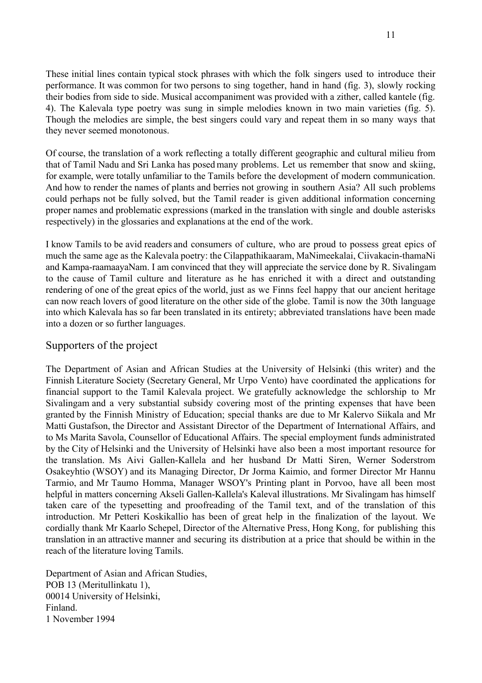These initial lines contain typical stock phrases with which the folk singers used to introduce their performance. It was common for two persons to sing together, hand in hand (fig. 3), slowly rocking their bodies from side to side. Musical accompaniment was provided with a zither, called kantele (fig. 4). The Kalevala type poetry was sung in simple melodies known in two main varieties (fig. 5). Though the melodies are simple, the best singers could vary and repeat them in so many ways that they never seemed monotonous.

Of course, the translation of a work reflecting a totally different geographic and cultural milieu from that of Tamil Nadu and Sri Lanka has posed many problems. Let us remember that snow and skiing, for example, were totally unfamiliar to the Tamils before the development of modern communication. And how to render the names of plants and berries not growing in southern Asia? All such problems could perhaps not be fully solved, but the Tamil reader is given additional information concerning proper names and problematic expressions (marked in the translation with single and double asterisks respectively) in the glossaries and explanations at the end of the work.

I know Tamils to be avid readers and consumers of culture, who are proud to possess great epics of much the same age as the Kalevala poetry: the Cilappathikaaram, MaNimeekalai, Ciivakacin-thamaNi and Kampa-raamaayaNam. I am convinced that they will appreciate the service done by R. Sivalingam to the cause of Tamil culture and literature as he has enriched it with a direct and outstanding rendering of one of the great epics of the world, just as we Finns feel happy that our ancient heritage can now reach lovers of good literature on the other side of the globe. Tamil is now the 30th language into which Kalevala has so far been translated in its entirety; abbreviated translations have been made into a dozen or so further languages.

# Supporters of the project

The Department of Asian and African Studies at the University of Helsinki (this writer) and the Finnish Literature Society (Secretary General, Mr Urpo Vento) have coordinated the applications for financial support to the Tamil Kalevala project. We gratefully acknowledge the schlorship to Mr Sivalingam and a very substantial subsidy covering most of the printing expenses that have been granted by the Finnish Ministry of Education; special thanks are due to Mr Kalervo Siikala and Mr Matti Gustafson, the Director and Assistant Director of the Department of International Affairs, and to Ms Marita Savola, Counsellor of Educational Affairs. The special employment funds administrated by the City of Helsinki and the University of Helsinki have also been a most important resource for the translation. Ms Aivi Gallen-Kallela and her husband Dr Matti Siren, Werner Soderstrom Osakeyhtio (WSOY) and its Managing Director, Dr Jorma Kaimio, and former Director Mr Hannu Tarmio, and Mr Taumo Homma, Manager WSOY's Printing plant in Porvoo, have all been most helpful in matters concerning Akseli Gallen-Kallela's Kaleval illustrations. Mr Sivalingam has himself taken care of the typesetting and proofreading of the Tamil text, and of the translation of this introduction. Mr Petteri Koskikallio has been of great help in the finalization of the layout. We cordially thank Mr Kaarlo Schepel, Director of the Alternative Press, Hong Kong, for publishing this translation in an attractive manner and securing its distribution at a price that should be within in the reach of the literature loving Tamils.

Department of Asian and African Studies, POB 13 (Meritullinkatu 1), 00014 University of Helsinki, Finland. 1 November 1994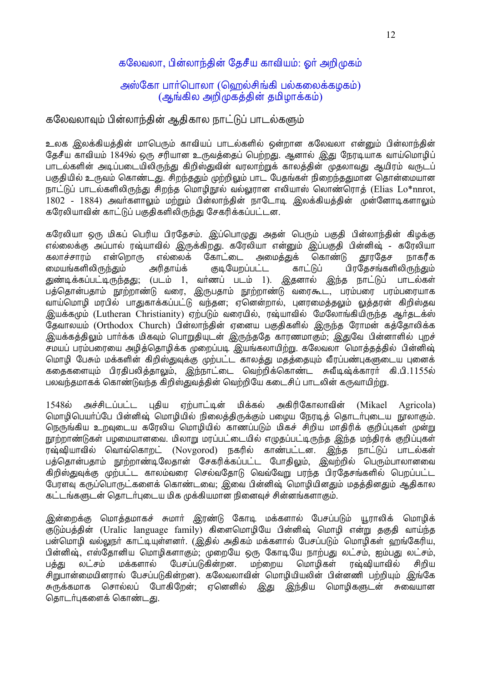# கலேவலா, பின்லாந்தின் தேசீய காவியம்: ஓர் அறிமுகம்

## அஸ்கோ பார்பொலா (ஹெல்சிங்கி பல்கலைக்கழகம்) (ஆங்கில அறிமுகத்தின் தமிழாக்கம்)

## கலேவலாவும் பின்லாந்தின் ஆதிகால நாட்டுப் பாடல்களும்

உலக இலக்கியத்தின் மாபெரும் காவியப் பாடல்களில் ஒன்றான கலேவலா என்னும் பின்லாந்தின் தேசீய காவியம் 1849ல் ஒரு சரியான உருவத்தைப் பெற்றது. ஆனால் இது நேரடியாக வாய்மொழிப் பாடல்களின் அடிப்படையிலிருந்து கிறிஸ்துவின் வரலாற்றுக் காலத்தின் முதலாவது ஆயிரம் வருடப் பகுதியில் உருவம் கொண்டது. சிறந்ததும் முற்றிலும் பாட பேதங்கள் நிறைந்ததுமான தொன்மையான நாட்டுப் பாடல்களிலிருந்து சிறந்த மொழிநூல் வல்லுரான எலியாஸ் லொண்ரொத் (Elias Lo\*nnrot, 1802 - 1884) அவர்களாலும் மற்றும் பின்லாந்தின் நாடோடி இலக்கியத்தின் முன்னோடிகளாலும் கரேலியாவின் காட்டுப் பகுதிகளிலிருந்து சேகரிக்கப்பட்டன.

கரேலியா ஒரு மிகப் பெரிய பிரதேசம். இப்பொழுது அதன் பெரும் பகுதி பின்லாந்தின் கிழக்கு எல்லைக்கு அப்பால் ரஷ்யாவில் இருக்கிறது. கரேலியா என்னும் இப்பகுதி பின்னிஷ் - கரேலியா கோட்டை கலாச்சாாம் என்றொரு எல்லைக் அமைக்குக் கொண்டு காரகேச நாகரீக மையங்களிலிருந்தும் அரிகாய்க் குடியேறப்பட்ட காட்டுப் பிரகேசங்களிலிருந்தும் துண்டிக்கப்பட்டிருந்தது; (படம் 1, வா்ணப் படம் 1). இதனால் இந்த நாட்டுப் பாடல்கள் பத்தொன்பதாம் நூற்றாண்டு வரை, இருபதாம் நூற்றாண்டு வரைகூட, பரம்பரை பரம்பரையாக வாய்மொழி மரபில் பாதுகாக்கப்பட்டு வந்தன; ஏனென்றால், புனரமைத்தலும் லுத்தரன் கிறிஸ்தவ இயக்கமும் (Lutheran Christianity) ஏற்படும் வரையில், ரஷ்யாவில் மேலோங்கியிருந்த ஆர்தடக்ஸ் தேவாலயம் (Orthodox Church) பின்லாந்தின் ஏனைய பகுதிகளில் இருந்த ரோமன் கத்தோலிக்க .<br>இயக்கத்திலும் பார்க்க மிகவும் பொறுதியுடன் இருந்ததே காரணமாகும்: இதுவே பின்னாளில் புறச் சமயப் பரம்பரையை அழித்தொழிக்க முறைப்படி இயங்கலாயிற்று. கலேவலா மொத்தத்தில் பின்னிஷ் மொழி பேசும் மக்களின் கிறிஸ்துவுக்கு முற்பட்ட காலத்து மதத்தையும் வீரப்பண்புகளுடைய புனைக் கதைகளையும் பிரதிபலித்தாலும், இந்நாட்டை வெற்றிக்கொண்ட சுவீடிஷ்க்காரர் கி.பி.1155ல் பலவந்தமாகக் கொண்டுவந்த கிறிஸ்துவத்தின் வெற்றியே கடைசிப் பாடலின் கருவாயிற்று.

1548ல் அச்சிடப்பட்ட புதிய எற்பாட்டின் மிக்கல் அகிரிகோலாவின் (Mikael) Agricola) மொழிபெயர்ப்பே பின்னிஷ் மொழியில் நிலைத்திருக்கும் பழைய நேரடித் தொடர்புடைய நூலாகும். நெருங்கிய உறவுடைய கரேலிய மொழியில் காணப்படும் மிகச் சிறிய மாதிரிக் குறிப்புகள் முன்று நூற்றாண்டுகள் பழமையானவை. மிலாறு மரப்பட்டையில் எழுதப்பட்டிருந்த இந்த மந்திரக் குறிப்புகள் ரஷ்ஷியாவில் வொவ்கொறட் (Novgorod) நகரில் காண்பட்டன. இந்த நாட்டுப் பாடல்கள் பத்தொன்பதாம் நூற்றாண்டிலேதான் சேகரிக்கப்பட்ட போதிலும், இவற்றில் பெரும்பாலானவை கிறிஸ்துவுக்கு முற்பட்ட காலம்வரை செல்வதோடு வெவ்வேறு பரந்த பிரதேசங்களில் பெறப்பட்ட போளவ கருப்பொருட்களைக் கொண்டவை; இவை பின்னிஷ் மொழியினதும் மதத்தினதும் ஆதிகால கட்டங்களுடன் கொடர்படைய மிக முக்கியமான நினைவச் சின்னங்களாகும்.

இன்றைக்கு மொத்தமாகச் சுமார் இரண்டு கோடி மக்களால் பேசப்படும் யூராலிக் மொழிக் குடும்பக்கின் (Uralic language family) கிளைமொமியே பின்னிஷ் மொமி என்று ககுகி வாய்ந்க பன்மொமி வல்லாூர் காட்டியுள்ளனர். (இதில் அதிகம் மக்களால் பேசப்படும் மொழிகள் வாங்கேரிய, பின்னிஷ், எஸ்தோனிய மொழிகளாகும்; முறையே ஒரு கோடியே நாற்பது லட்சம், ஐம்பது லட்சம், லட்சம் மக்களால் பேசப்படுகின்றன. மற்றைய மொமிகள் ரஷ்வியாவில் பக்கு சிறிய சிறுபான்மையினரால் பேசப்படுகின்றன). கலேவலாவின் மொமியியலின் பின்னணி பற்றியும் இங்கே இந்திய மொழிகளுடன் சுவையான சுருக்கமாக சொல்லப் போகிறேன்; ஏனெனில் இது தொடர்புகளைக் கொண்டது.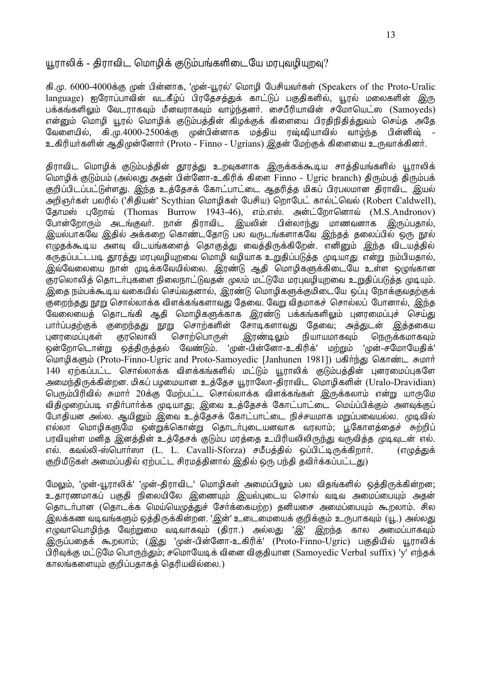## யூராலிக் - கிராவிட மொமிக் குடும்பங்களிடையே மரபவமியறவ?

கி.மு. 6000-4000க்கு முன் பின்னாக, 'முன்-யூரல்' மொழி பேசியவர்கள் (Speakers of the Proto-Uralic language) ஐரோப்பாவின் வடகீழ்ப் பிரதேசத்துக் காட்டுப் பகுதிகளில், யூரல் மலைகளின் இரு பக்கங்களிலும் வேடராகவும் மீனவராகவும் வாழ்ந்தனர். சைபீரியாவின் சமோயெட்ஸ (Samoyeds) என்றும் மொமி யூரல் மொமிக் குடும்பக்கின் கிமக்குக் கிளையை பிரகிநிகிக்குவம் செய்க அகே கி.மு.4000-2500க்கு முன்பின்னாக மத்திய ரஷ்ஷியாவில் வாம்ந்த வேளையில். பின்னிவ் உகிரியர்களின் ஆதிமுன்னோர் (Proto - Finno - Ugrians) இதன் மேற்குக் கிளையை உருவாக்கினர்.

திராவிட மொழிக் குடும்பத்தின் தூரத்து உறவுகளாக இருக்கக்கூடிய சாத்தியங்களில் யூராலிக் மொழிக் குடும்பம் (அல்லது அதன் பின்னோ-உகிரிக் கிளை Finno - Ugric branch) திரும்பத் திரும்பக் குறிப்பிடப்பட்டுள்ளது. இந்த உத்தேசக் கோட்பாட்டை ஆதரித்த மிகப் பிரபலமான திராவிட இயல் அறிஞர்கள் பலரில் ('சிதியன்' Scythian மொழிகள் பேசிய) றொபேட் கால்ட்வெல் (Robert Caldwell), கோமஸ் பறோவ் (Thomas Burrow 1943-46), எம்.எஸ். அன்ட்றோனொவ் (M.S.Andronov) போன்றோரும் அடங்குவர். நான் திராவிட இயலின் பின்லாந்து மாணவனாக இருப்பதால், இயல்பாகவே இதில் அக்கறை கொண்டதோடு பல வருடங்களாகவே இந்தத் தலைப்பில் ஒரு நூல் ...<br>எழுதக்கூடிய அளவு விடயங்களைத் தொகுத்து வைத்திருக்கிறேன். எனினும் இந்த விடயத்தில் .<br>கருதப்பட்டபடி தூரத்து மரபுவழியுறவை மொழி வழியாக உறுதிப்படுத்த முடியாது என்று நம்பியதால். இவ்வேலையை நான் முடிக்கவேயில்லை. இரண்டு ஆதி மொழிகளுக்கிடையே உள்ள ஒழுங்கான காலொலிக் கொடர்பகளை நிலைநாட்டுவகன் மலம் மட்டுமே மாபவமியாவை உறுகிப்படுக்க முடியம். .<br>இதை நம்பக்கூடிய வகையில் செய்வதனால், இரண்டு மொழிகளுக்குமிடையே ஒப்பு நோக்குவதற்குக் குறைந்தது நூறு சொல்லாக்க விளக்கங்களாவது கேவை. வேறு விதமாகச் சொல்லப் போனால், இந்த வேலையைத் தொடங்கி ஆதி மொழிகளுக்காக இரண்டு பக்கங்களிலும் புனரமைப்புச் செய்து பார்ப்பகற்குக் குறைந்தது நூறு சொற்களின் சோடிகளாவது கேவை: அத்துடன் இத்தகைய ரியாயமாகவம் பனாமைப்பகள் காலொலி சொற்பொருள் இரண்டிலும் நெருக்கமாகவும் வேண்டும். 'முன்-பின்னோ-உகிரிக்' ஒன்றோடொன்று ஒத்திருத்தல் மற்றும் 'முன்-சமோயேதிக்' மொழிகளும் (Proto-Finno-Ugric and Proto-Samoyedic [Janhunen 1981]) பகிர்ந்து கொண்ட சுமார் .<br>140 ஏற்கப்பட்ட சொல்லாக்க விளக்கங்களில் மட்டும் யூராலிக் குடும்பக்கின் பனரமைப்புகளே அமைந்திருக்கின்றன. மிகப் பழமையான உத்தேச யூராலோ-திராவிட மொழிகளின் (Uralo-Dravidian) பெரும்பிரிவில் சுமார் 20க்கு மேற்பட்ட சொல்லாக்க விளக்கங்கள் இருக்கலாம் என்று யாருமே .<br>விதிமுறைப்படி எதிர்பார்க்க முடியாது: இவை உத்தேசக் கோட்பாட்டை மெய்ப்பிக்கும் அளவுக்குப் போதியன் அல்ல. ஆயினும் இவை உத்தேசக் கோட்பாட்டை நிச்சயமாக மறுப்பவையல்ல. முடிவில் எல்லா மொழிகளுமே ஒன்றுக்கொன்று தொடர்புடையனவாக வரலாம்; பூகோளத்தைச் சுற்றிப் பரவியுள்ள மனித இனத்தின் உத்தேசக் குடும்ப மரத்தை உயிரியலிலிருந்து வருவித்த முடிவுடன் எல். எல். கவல்லி-ஸ்பொர்ஸா (L. L. Cavalli-Sforza) சமீபத்தில் ஒப்பிட்டிருக்கிறார். (எழுத்துக் குறியீடுகள் அமைப்பதில் ஏற்பட்ட சிரமத்தினால் இதில் ஒரு பந்தி தவிர்க்கப்பட்டது)

மேலும், 'முன்-யூராலிக்' 'முன்-திராவிட' மொழிகள் அமைப்பிலும் பல விதங்களில் ஒத்திருக்கின்றன; உதாரணமாகப் பகுதி நிலையிலே இணையும் இயல்புடைய சொல் வடிவ அமைப்பையும் அதன் தொடர்பான (தொடக்க மெய்யெழுத்துச் சேர்க்கையற்ற) தனியசை அமைப்பையும் கூறலாம். சில இலக்கண வடிவங்களும் ஒத்திருக்கின்றன. 'இன்' உடைமையைக் குறிக்கும் உருபாகவும் (யூ.) அல்லது எமுவாயொழிந்த வேற்றுமை வடிவாகவும் (திரா.) அல்லது 'இ' இறந்த கால அமைப்பாகவும் .<br>இருப்பதைக் கூறலாம், (இது 'முன்-பின்னோ-உகிரிக்' (Proto-Finno-Ugric) பகுதியில் யூராலிக் பிரிவுக்கு மட்டுமே பொருந்தும்; சமொயேடிக் வினை விகுதியான (Samoyedic Verbal suffix) 'y' எந்தக் காலங்களையம் குறிப்பகாகக் கெரியவில்லை.)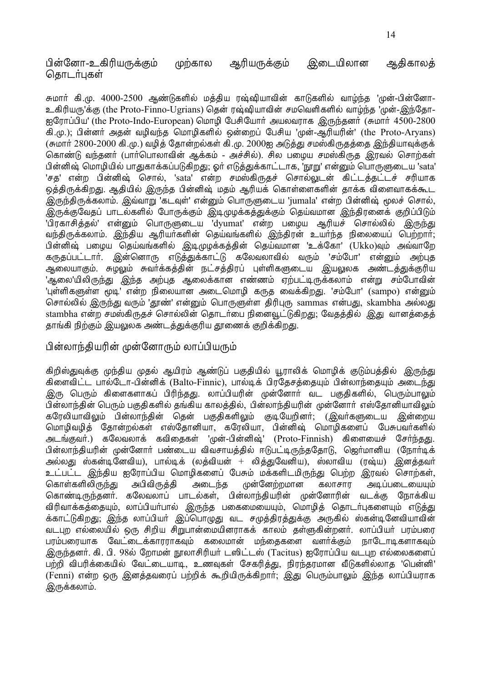பின்னோ-உகிரியருக்கும் முற்கால அரியருக்கும் இடையிலான அதிகாலத் கொடர்பகள்

சுமார் கி.மு. 4000-2500 ஆண்டுகளில் மத்திய ரஷ்ஷியாவின் காடுகளில் வாழ்ந்த 'முன்-பின்னோ-உகிரியரு'க்கு (the Proto-Finno-Ugrians) தென் ரஷ்ஷியாவின் சமவெளிகளில் வாழ்ந்த 'முன்-இந்தோ-ஐரோப்பிய' (the Proto-Indo-European) மொமி பேசியோர் அயலவராக இருந்தனர் (சுமார் 4500-2800 கி.மு.); பின்னர் அதன் வழிவந்த மொழிகளில் ஒன்றைப் பேசிய 'முன்-ஆரியரின்' (the Proto-Aryans) (சுமார் 2800-2000 கி.மு.) வழித் தோன்றல்கள் கி.மு. 2000ஐ அடுத்து சமஸ்கிருதத்தை இந்தியாவுக்குக் கொண்டு வந்தனா் (பாா்பொலாவின் ஆக்கம் - அச்சில்). சில பழைய சமஸ்கிருத இரவல் சொற்கள் பின்னிஷ் மொழியில் பாதுகாக்கப்படுகிறது; ஓர் எடுத்துக்காட்டாக, 'நூறு' என்னும் பொருளுடைய 'sata' 'சத' என்ற பின்னிஷ் சொல், 'sata' என்ற சமஸ்கிருதச் சொல்லுடன் கிட்டத்தட்டச் சரியாக ஒத்திருக்கிறது. ஆதியில் இருந்த பின்னிஷ் மதம் ஆரியக் கொள்ளைகளின் தாக்க விளைவாகக்கூட .<br>இருந்திருக்கலாம். இவ்வாறு 'கடவுள்' என்னும் பொருளுடைய 'jumala' என்ற பின்னிஷ் மூலச் சொல், .<br>இருக்குவேதப் பாடல்களில் போருக்கும் இடிமுமக்கத்துக்கும் தெய்வமான இந்திரனைக் குறிப்பிடும் 'பிரகாசித்தல்' என்னும் பொருளுடைய 'dyumat' என்ற பழைய ஆரியச் சொல்லில் இருந்து வந்திருக்கலாம். இந்திய ஆரியர்களின் தெய்வங்களில் இந்திரன் உயர்ந்த நிலையைப் பெற்றார்; பின்னிஷ் பழைய தெய்வங்களில் இடிமுழக்கத்தின் தெய்வமான 'உக்கோ' (Ukko)வும் அவ்வாறே கருதப்பட்டார். இன்னொரு எடுத்துக்காட்டு கலேவலாவில் வரும் 'சம்போ' என்னும் அற்புத ¨®ƒ¬°Ãı. ÕÆ÷ı ÕÅ˜Ï¸Úæ¢˝ øðºÚæ¢ÃÙ "˚«¢¸Ÿ®º¬ ˛¬÷ƒ¸ ´ÒºÚ–ÏÃâ¬ 'ஆலை'யிலிருந்து இந்த அற்பத ஆலைக்கான எண்ணம் எற்பட்டிருக்கலாம் என்று சம்போவின். 'புள்ளிகளுள்ள மூடி' என்ற நிலையான அடைமொழி கருத வைக்கிறது. 'சம்போ' (sampo) என்னும் சொல்லில் இருந்து வரும் 'தாண்' என்னும் பொருளுள்ள கிரிபுரு sammas என்பது, skambha அல்லது stambha என்ற சமஸ்கிருதச் சொல்லின் தொடர்பை நினைவுட்டுகிறது; வேதத்தில் இது வானத்தைத் காங்கி நிற்கும் இயலுலக அண்டக்குக்குரிய தாணைக் குறிக்கிறது.

## பின்லாந்தியரின் முன்னோரும் லாப்பியரும்

கிறிஸ்துவுக்கு முந்திய முதல் ஆயிரம் ஆண்டுப் பகுதியில் யூராலிக் மொழிக் குடும்பத்தில் இருந்து கிளைவிட்ட பால்டோ-பின்னிக் (Balto-Finnic), பால்டிக் பிரதேசத்தையும் பின்லாந்தையும் அடைந்து இரு பெரும் கிளைகளாகப் பிரிந்தது. லாப்பியரின் முன்னோர் வட பகுதிகளில், பெரும்பாலும் .<br>பின்லாந்தின் பெரும் பகுதிகளில் தங்கிய காலத்தில், பின்லாந்தியரின் முன்னோர் எஸ்தோனியாவிலும் கரேலியாவிலும் பின்லாந்தின் தென் பகுதிகளிலும் குடியேறினர்; (இவர்களுடைய இன்றைய மொழிவழித் தோன்றல்கள் எஸ்தோனியா, கரேலியா, பின்னிஷ் மொழிகளைப் பேசுபவர்களில் அடங்குவர்.) கலேவலாக் கவிதைகள் 'முன்-பின்னிஷ்' (Proto-Finnish) கிளையைச் சேர்ந்தது. ்பின்லாந்தியரின் முன்னோர் பண்டைய விவசாயத்தில் ஈடுபட்டிருந்ததோடு, ஜெர்மானிய (நோர்டிக் அல்லது ஸ்கன்டினேவிய), பால்டிக் (லத்வியன் + லித்துவேனிய), ஸ்லாவிய (ரஷ்ய) இனத்தவர் <u>உட்பட்ட இந்திய ஐரோப்பிய மொழிகளைப் பேசும் மக்களிடமிருந்து பெற்ற இரவல் சொற்கள்,</u> கொள்களிலிருந்து அபிவிருத்தி அடைந்த முன்னேற்றமான கலாசார அடிப்படையையும் கொண்டிருந்தனர். கலேவலாப் பாடல்கள், பின்லாந்தியரின் முன்னோரின் வடக்கு நோக்கிய விரிவாக்கத்தையும், லாப்பியா்பால் இருந்த பகைமையையும், மொழித் தொடா்புகளையும் எடுத்து க்காட்டுகிறது; இந்த லாப்பியர் இப்பொழுது வட சமுத்திரத்துக்கு அருகில் ஸ்கன்டினேவியாவின் ்வடபுற எல்லையில் ஒரு சிறிய சிறுபான்மையினாரகக் காலம் கள்ளுகின்றனர். லாப்பியர் பாம்பரை பரம்பரையாக வேட்டைக்காரராகவும் கலைமான் மந்தைகளை வளர்க்கும் நாடோடிகளாகவும் இருந்தனர். கி. பி. 98ல் றோமன் நூலாசிரியர் டஸிட்டஸ் (Tacitus) ஐரோப்பிய வடபுற எல்லைகளைப் பற்றி விபரிக்கையில் வேட்டையாடி, உணவுகள் சேகரித்து, நிரந்தரமான வீடுகளில்லாத 'பென்னி' (Fenni) என்ற ஒரு இனத்தவரைப் பற்றிக் கூறியிருக்கிறார்; இது பெரும்பாலும் இந்த லாப்பியராக இருக்கலாம்.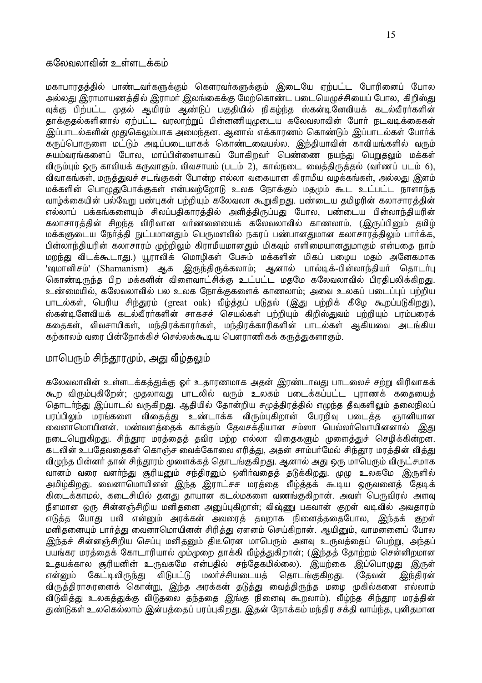#### கலேவலாவின் உள்ளடக்கம்

மகாபாரதத்தில் பாண்டவர்களுக்கும் கௌரவர்களுக்கும் இடையே ஏற்பட்ட போரினைப் போல அல்லது இராமாயணத்தில் இராமர் இலங்கைக்கு மேற்கொண்ட படையெழுச்சியைப் போல, கிறிஸ்து வுக்கு பிற்பட்ட முதல் ஆயிரம் ஆண்டுப் பகுதியில் நிகழ்ந்த ஸ்கன்டினேவியக் கடல்வீரர்களின் காக்குகல்களினால் ஏற்பட்ட வரலாற்றுப் பின்னணியுமுடைய கலேவலாவின் போர் நடவடிக்கைகள் இப்பாடல்களின் முதுகெலும்பாக அமைந்தன. ஆனால் எக்காரணம் கொண்டும் இப்பாடல்கள் போர்க் கருப்பொருளை மட்டும் அடிப்படையாகக் கொண்டவையல்ல. இந்தியாவின் காவியங்களில் வரும் சுயம்வரங்களைப் போல, மாப்பிள்ளையாகப் போகிறவர் பெண்ணை நயந்து பெறுதலும் மக்கள் விரும்பும் ஒரு காவியக் கருவாகும். விவசாயம் (படம் 2), கால்நடை வைத்திருத்தல் (வர்ணப் படம் 6), விவாகங்கள். மருக்குவச் சடங்குகள் போன்ற எல்லா வகையான கிராமீய வமக்கங்கள். அல்லது இளம் மக்களின் பொழுதுபோக்குகள் என்பவற்றோடு உலக நோக்கும் மதமும் கூட உட்பட்ட நாளாந்த வாழ்க்கையின் பல்வேறு பண்புகள் பற்றியும் கலேவலா கூறுகிறது. பண்டைய தமிழரின் கலாசாரத்தின் எல்லாப் பக்கங்களையும் சிலப்பதிகாரத்தில் அளித்திருப்பது போல, பண்டைய பின்லாந்தியரின் கலாசாரக்கின் சிறந்த விரிவான வர்ணனையைக் கலேவலாவில் காணலாம். (இருப்பினும் கமிம் மக்களுடைய நேர்த்தி நுட்பமானதும் பெருமளவில் நகரப் பண்பானதுமான கலாசாரத்திலும் பார்க்க, பின்லாந்கியரின் கலாசாரம் முற்றிலம் கிராமீயமானகும் மிகவம் எளிமையானகுமாகும் என்பகை நாம் மறந்து விடக்கூடாது.) யூராலிக் மொமிகள் பேசும் மக்களின் மிகப் பமைய மகம் அனேகமாக 'ஷமானிசம்' (Shamanism) ஆக இருந்திருக்கலாம்; ஆனால் பால்டிக்-பின்லாந்தியா் தொடா்பு கொண்டிருந்த பிற மக்களின் விளைவாட்சிக்கு உட்பட்ட மகமே கலேவலாவில் பிரகிபலிக்கிறது. உண்மையில், கலேவலாவில் பல உலக நோக்குகளைக் காணலாம்: அவை உலகப் படைப்பப் பற்றிய பாடல்கள், பெரிய சிந்துரம் (great oak) வீம்க்கப் படுகல் (இது பற்றிக் கீழே கூறப்படுகிறது), ஸ்கன்டினேவியக் கடல்வீரர்களின் சாகசச் செயல்கள் பற்றியும் கிறிஸ்துவம் பற்றியும் பரம்பரைக் கதைகள், விவசாயிகள், மந்திரக்காரர்கள், மந்திரக்காரிகளின் பாடல்கள் ஆகியவை அடங்கிய கற்காலம் வரை பின்நோக்கிச் செல்லக்கூடிய பௌராணிகக் கருத்துகளாகும்.

### மாபெரும் சிந்தூரமும், அது வீழ்தலும்

கலேவலாவின் உள்ளடக்கத்துக்கு ஓர் உதாரணமாக அதன் இரண்டாவது பாடலைச் சற்று விரிவாகக் கூற விரும்புகிறேன்; முதலாவது பாடலில் வரும் உலகம் படைக்கப்பட்ட புராணக் கதையைத் தொடர்ந்து இப்பாடல் வருகிறது. ஆதியில் தோன்றிய சமுத்திரத்தில் எழுந்த தீவுகளிலும் தலைநிலப் பரப்பிலும் மரங்களை விதைத்து உண்டாக்க விரும்புகிறான் பேரறிவு படைத்த ஞானியான ்வைனாமொயினன். மண்வளத்தைக் காக்கும் தேவசக்தியான சம்ஸா பெல்லா்வொயினனால் இது நடைபெறுகிறது. சிந்தூர மரத்தைத் தவிர மற்ற எல்லா விதைகளும் முளைத்துச் செழிக்கின்றன. கடலின் உபதேவதைகள் கொஞ்ச வைக்கோலை எரித்து, அதன் சாம்பர்மேல் சிந்தூர மரத்தின் வித்து விழுந்த பின்னர் தான் சிந்தூரம் முளைக்கத் தொடங்குகிறது. ஆனால் அது ஒரு மாபெரும் விருட்சமாக வானம் வரை வளர்ந்து சூரியனும் சந்திரனும் ஒளிர்வதைத் தடுக்கிறது. முழு உலகமே இருளில் அமிழ்கிறது. வைனாமொயினன் இந்த இராட்சச மரத்தை வீழ்த்தக் கூடிய ஒருவனைத் தேடிக் கிடைக்காமல், கடைசியில் தனது தாயான கடல்மகளை வணங்குகிறான். அவள் பெருவிரல் அளவு நீளமான ஒரு சின்னஞ்சிறிய மனிதனை அனுப்புகிறாள்; விஷ்ணு பகவான் குறள் வடிவில் அவதாரம் எடுத்த போது பலி என்னும் அரக்கன் அவரைத் தவறாக நினைத்ததைபோல, இந்தக் குறள் மனிகனையம் பார்க்கு வைனாமொயினன் சிரிக்கு எளனம் செய்கிறான். அயினும், வாமனனைப் போல இந்தச் சின்னஞ்சிறிய செப்பு மனிதனும் கிடீரென மாபெரும் அளவு உருவக்கைப் பெற்று, அந்கப் பயங்கர மரத்தைக் கோடாரியால் மும்முறை தாக்கி வீழ்த்துகிறான்; (இந்தத் தோற்றம் சென்னிறமான உதயக்கால சூரியனின் உருவகமே என்பதில் சந்தேகமில்லை). இயற்கை இப்பொமுது இருள் என்றும் கேட்டிலிருந்து விடுபட்டு மலர்ச்சியடையக் கொடங்குகிறது. (கேவன் இந்திரன் விருத்திராசுரனைக் கொன்று, இந்த அரக்கன் தடுத்து வைத்திருந்த மழை முகில்களை எல்லாம் விடுவித்து உலகத்துக்கு விடுதலை தந்ததை இங்கு நினைவு கூறலாம்). வீழ்ந்த சிந்தூர மரத்தின் துண்டுகள் உலகெல்லாம் இன்பக்கைப் பரப்பகிறது. இதன் நோக்கம் மந்திர சக்தி வாய்ந்த, புனிதமான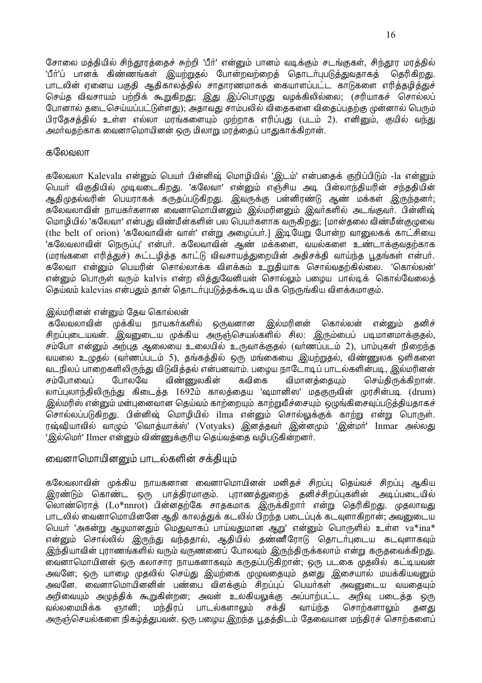சோலை மத்தியில் சிந்தூரத்தைச் சுற்றி 'பீர்' என்னும் பானம் வடிக்கும் சடங்குகள், சிந்தூர மரத்தில் 'பீர்'ப் பானக் கிண்ணங்கள் இயற்றுதல் போன்றவற்றைத் தொடர்புபடுத்துவதாகத் தெரிகிறது. பாடலின் ஏனைய பகுதி ஆதிகாலத்தில் சாதாரணமாகக் கையாளப்பட்ட காடுகளை எரித்தமித்துச் செய்த விவசாயம் பற்றிக் கூறுகிறது; இது இப்பொழுது வழக்கிலில்லை; (சரியாகச் சொல்லப் போனால் தடைசெய்யப்பட்டுள்ளது); அதாவது சாம்பலில் விதைகளை விதைப்பதற்கு முன்னால் பெரும் பிரதேசத்தில் உள்ள எல்லா மரங்களையும் முற்றாக எரிப்பது (படம் 2). எனினும், குயில் வந்து அமர்வதற்காக வைனாமொயினன் ஒரு மிலாறு மரத்தைப் பாதுகாக்கிறான்.

#### கலேவலா

கலேவலா Kalevala என்னும் பெயர் பின்னிஷ் மொழியில் 'இடம்' என்பதைக் குறிப்பிடும் -la என்னும் பெயர் விகுதியில் முடிவடைகிறது. 'கலேவா' என்னும் எஞ்சிய அடி பின்லாந்தியரின் சந்ததியின் ஆதிமுதல்வரின் பெயராகக் கருதப்படுகிறது. இவருக்கு பன்னிரண்டு ஆண் மக்கள் இருந்தனர்; கலேவலாவின் நாயகர்களான வைனாமொயினனும் இல்மரினனும் இவர்களில் அடங்குவர். பின்னிஷ் மொழியில் 'கலேவா' என்பது விண்மீன்களின் பல பெயர்களாக வருகிறது; [மான்தலை விண்மீன்குழுவை (the belt of orion) 'கலேவாவின் வாள்' என்று அழைப்பர்.] இடியேறு போன்ற வானுலகக் காட்சியை 'கலேவலாவின் நெருப்பு' என்பர். கலேவாவின் ஆண் மக்களை, வயல்களை உண்டாக்குவதற்காக (மரங்களை எரித்துச்) சுட்டமித்த காட்டு விவசாயத்துறையின் அதிசக்தி வாய்ந்த பூதங்கள் என்பர். கலேவா என்றும் பெயரின் சொல்லாக்க விளக்கம் உறுதியாக சொல்வதற்கில்லை. 'கொல்லன்' என்னும் பொருள் வரும் kalvis என்ற லித்துவேனியன் சொல்லும் பழைய பால்டிக் கொல்வேலைத் தெய்வம் kalevias என்பதும் தான் தொடர்புபடுத்தக்கூடிய மிக நெருங்கிய விளக்கமாகும்.

#### இல்மரினன் என்னும் தேவ கொல்லன்

கனிச் கலேவலாவின் முக்கிய நாயகர்களில் ஒருவனான இல்மரினன் கொல்லன் என்னும் சிறப்புடையவன். இவனுடைய முக்கிய அருஞ்செயல்களில் சில: இரும்பைப் படிமானமாக்குதல், சம்போ என்னும் அற்புத ஆலையை உலையில் உருவாக்குதல் (வர்ணப்படம் 2), பாம்புகள் நிறைந்த வயலை உழுதல் (வா்ணப்படம் 5), தங்கத்தில் ஒரு மங்கையை இயற்றுதல், விண்ணுலக ஒளிகளை வடநிலப் பாறைகளிலிருந்து விடுவிக்கல் என்பனவாம். பமைய நாடோடிப் பாடல்களின்படி, இல்மரினன் சம்போவைப் போலவே விண்ணுலகின் கவிகை விமானக்கையம் செய்கிருக்கிறான். லாப்புலாந்திலிருந்து கிடைத்த 1692ம் காலத்தைய 'ஷமானிஸ' மதகுருவின் முரசின்படி (drum) இல்மரிஸ் என்னும் மன்புனைவான தெய்வம் காற்றையும் காற்றுவீச்சையும் ஒழுங்கிசைவுப்படுத்தியதாகச் சொல்லப்படுகிறது. பின்னிஷ் மொழியில் ilma என்னும் சொல்லுக்குக் காற்று என்று பொருள். ரஷ்ஷியாவில் வாழும் 'வொத்யாக்ஸ்' (Votyaks) இனத்தவர் இன்னமும் 'இன்மர்' Inmar அல்லது 'இல்மெர்' Ilmer என்னும் விண்ணுக்குரிய தெய்வத்தை வழிபடுகின்றனர்.

## வைனாமொயினனும் பாடல்களின் சக்கியம்

கலேவலாவின் முக்கிய நாயகனான வைனாமொயினன் மனிதச் சிறப்பு தெய்வச் சிறப்பு ஆகிய பாத்திரமாகும். புராணத்துறைத் தனிச்சிறப்புகளின் அடிப்படையில் இரண்டும் கொண்ட ஒரு லொண்ரொத் (Lo\*nnrot) பின்னதற்கே சாதகமாக இருக்கிறாா் என்று தெரிகிறது. முதலாவது பாடலில் வைனாமொயினனே ஆதி காலத்துக் கடலில் பிறந்த படைப்புக் கடவுளாகிறான்; அவனுடைய பெயா் 'அகன்று ஆழமானதும் மெதுவாகப் பாய்வதுமான ஆறு' என்னும் பொருளில் உள்ள va\*ina\* என்னும் சொல்லில் இருந்து வந்ததால், ஆதியில் தண்ணீரோடு தொடர்புடைய கடவுளாகவும் <u>இந்தியாவின் புராணங்களில் வரும் வருணனைப் போலவும் இருந்திருக்கலாம் என்று கருதவைக்கிறது.</u> வைனாமொயினன் ஒரு கலாசார நாயகனாகவும் கருதப்படுகிறான்; ஒரு படகை முதலில் கட்டியவன் அவனே; ஒரு யாமை முதலில் செய்து இயற்கை முமுவதையும் தனது இசையால் மயக்கியவனும் அவனே. வைனாமொயினனின் பண்பை விளக்கும் சிறப்புப் பெயர்கள் அவனுடைய வயதையும் அறிவையும் அழுத்திக் கூறுகின்றன; அவன் உலகியலுக்கு அப்பாற்பட்ட அறிவு படைத்த ஒரு வல்லமைமிக்க மந்திரப் ஞானி ; பாடல்களாலும் சக்தி வாய்ந்த சொற்களாலும் தனது அருஞ்செயல்களை நிகழ்த்துபவன். ஒரு பழைய இறந்த பூதத்திடம் தேவையான மந்திரச் சொற்களைப்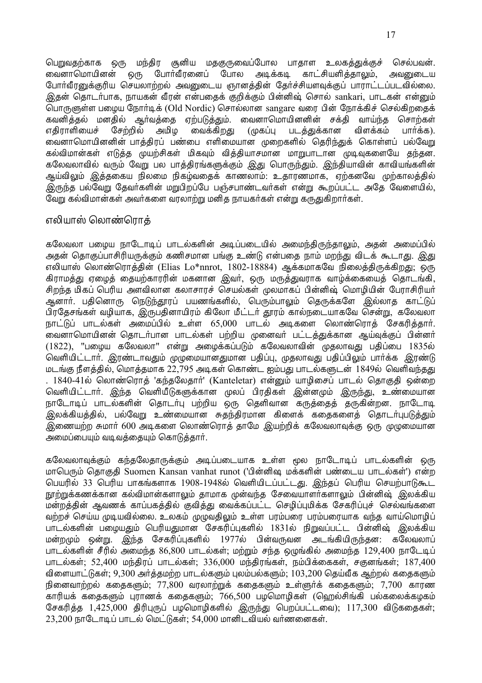பெறுவதற்காக ஒரு மந்திர சூனிய மதகுருவைப்போல பாதாள உலகத்துக்குச் செல்பவன். லைனாமொயினன் ஒரு போர்வீரனைப் போல அடிக்கடி காட்சியளித்தாலும், அவனுடைய போர்வீரனுக்குரிய செயலாற்றல் அவனுடைய ஞானத்தின் தேர்ச்சியளவுக்குப் பாராட்டப்படவில்லை. இகன் கொடர்பாக, நாயகன் வீரன் என்பகைக் குறிக்கும் பின்னிஷ் சொல் sankari, பாடகன் என்றும் பொருளுள்ள பழைய நோர்டிக் (Old Nordic) சொல்லான sangare வரை பின் நோக்கிச் செல்கிறதைக் கவனித்தல் மனதில் ஆர்வத்தை ஏற்படுத்தும். வைனாமொயினனின் சக்தி வாய்ந்த சொற்கள் எதிராளியைச் சேற்றில் அமிழ வைக்கிறது (முகப்பு படத்துக்கான விளக்கம் பார்க்க). வைனாமொயினனின் பாத்திரப் பண்பை எளிமையான முறைகளில் தெரிந்துக் கொள்ளப் பல்வேறு கல்விமான்கள் எடுத்த முயற்சிகள் மிகவும் வித்தியாசமான மாறுபாடான முடிவுகளையே தந்தன. கலேவலாவில் வரும் வேறு பல பாத்திரங்களுக்கும் <u>இது</u> பொருந்தும். இந்தியாவின் காவியங்களின் ஆய்விலும் இத்தகைய நிலமை நிகம்வதைக் காணலாம்: உதாரணமாக, ஏற்கனவே முற்காலத்தில் <u>இருந்த பல்வேறு</u> தேவர்களின் மறுபிறப்பே பஞ்சபாண்டவர்கள் என்று கூறப்பட்ட அதே வேளையில், லேறு கல்விமான்கள் அவர்களை வரலாற்று மனித நாயகர்கள் என்று கருதுகிறார்கள்.

## எலியாஸ் லொண்ரொக்

கலேவலா பமைய நாடோடிப் பாடல்களின் அடிப்படையில் அமைந்திருந்தாலும், அதன் அமைப்பில் அதன் தொகுப்பாசிரியருக்கும் கணிசமான பங்கு உண்டு என்பதை நாம் மறந்து விடக் கூடாது. இது எலியாஸ் லொண்ரொத்தின் (Elias Lo\*nnrot, 1802-18884) ஆக்கமாகவே நிலைத்திருக்கிறது; ஒரு கிராமத்து ஏழைத் தையற்காரரின் மகனான இவா், ஒரு மருத்துவராக வாழ்க்கையைத் தொடங்கி. சிறந்த மிகப் பெரிய அளவிலான கலாசாாச் செயல்கள் மலமாகப் பின்னிஷ் மொமியின் போாசிரியர் ஆனார். பதினொரு நெடுந்தூரப் பயணங்களில், பெரும்பாலும் தெருக்களே இல்லாத காட்டுப் பிரதேசங்கள் வழியாக, இருபதினாயிரம் கிலோ மீட்டர் தூரம் கால்நடையாகவே சென்று, கலேவலா நாட்டுப் பாடல்கள் அமைப்பில் உள்ள 65,000 பாடல் அடிகளை லொண்ரொக் சேகரிக்கார். .<br>வைனாமொயினன் தொடர்பான பாடல்கள் பற்றிய முனைவர் பட்டத்துக்கான ஆய்வுக்குப் பின்னர் (1822), "பழைய கலேவலா" என்று அழைக்கப்படும் கலேவலாவின் முதலாவது பதிப்பை 1835ல் வெளியிட்டார். இரண்டாவதும் முழுமையானதுமான பதிப்பு, முதலாவது பதிப்பிலும் பார்க்க இரண்டு மடங்கு நீளத்தில், மொத்தமாக 22,795 அடிகள் கொண்ட ஐம்பது பாடல்களுடன் 1849ல் வெளிவந்தது . 1840-41ல் லொண்ரொத் 'கந்தலேதார்' (Kanteletar) என்னும் யாழிசைப் பாடல் தொகுதி ஒன்றை வெளியிட்டார். இந்த வெளியீடுகளுக்கான முலப் பிரதிகள் இன்னமும் இருந்து, உண்மையான நாடோடிப் பாடல்களின் தொடர்பு பற்றிய ஒரு தெளிவான கருத்தைத் தருகின்றன. நாடோடி இலக்கியத்தில், பல்வேறு உண்மையான சுதந்திரமான கிளைக் கதைகளைத் தொடர்புபடுத்தும் இணையற்ற சுமார் 600 அடிகளை லொண்ரொத் தாமே இயற்றிக் கலேவலாவுக்கு ஒரு முழுமையான அமைப்பையும் வடிவத்தையும் கொடுத்தார்.

கலேவலாவுக்கும் கந்தலேதாருக்கும் அடிப்படையாக உள்ள மூல நாடோடிப் பாடல்களின் ஒரு மாபெரும் தொகுதி Suomen Kansan vanhat runot ('பின்னிஷ மக்களின் பண்டைய பாடல்கள்') என்ற பெயரில் 33 பெரிய பாகங்களாக 1908-1948ல் வெளியிடப்பட்டது. இந்தப் பெரிய செயற்பாடுகூட நூற்றுக்கணக்கான கல்விமான்களாலும் தாமாக முன்வந்த சேவையாளர்களாலும் பின்னிஷ் இலக்கிய மன்றத்தின் ஆவணக் காப்பகத்தில் குவித்து வைக்கப்பட்ட செழிப்புமிக்க சேகரிப்புச் செல்வங்களை வற்றச் செய்ய முடியவில்லை. உலகம் முழுவதிலும் உள்ள பரம்பரை பரம்பரையாக வந்த வாய்மொழிப் பாடல்களின் பழையதும் பெரியதுமான சேகரிப்புகளில் 1831ல் நிறுவப்பட்ட பின்னிஷ் இலக்கிய ் மன்றமும் ஒன்று. இந்த சேகரிப்புகளில் 1977ல் பின்வருவன அடங்கியிருந்தன: கலேவலாப் பாடல்களின் சீரில் அமைந்த 86,800 பாடல்கள்; மற்றும் சந்த ஒழுங்கில் அமைந்த 129,400 நாடேடிப் பாடல்கள்: 52,400 மந்திரப் பாடல்கள்; 336,000 மந்திரங்கள், நம்பிக்கைகள், சகுனங்கள்; 187,400 விளையாட்டுகள்: 9,300 அர்க்கமற்ற பாடல்களும் பலம்பல்களும்: 103,200 கெய்வீக ஆற்றல் ககைகளும் நினைவாற்றல் கதைகளும்; 77,800 வரலாற்றுக் கதைகளும் உள்ளுர்க் கதைகளும்; 7,700 காரண காரியக் கதைகளும் புராணக் கதைகளும்; 766,500 பழமொழிகள் (ஹெல்சிங்கி பல்கலைக்கழகம் சேகரித்த 1,425,000 திரிபுருப் பழமொழிகளில் இருந்து பெறப்பட்டவை); 117,300 விடுகதைகள்;  $23,200$  நாடோடிப் பாடல் மெட்டுகள்; 54,000 மானிடவியல் வர்ணனைகள்.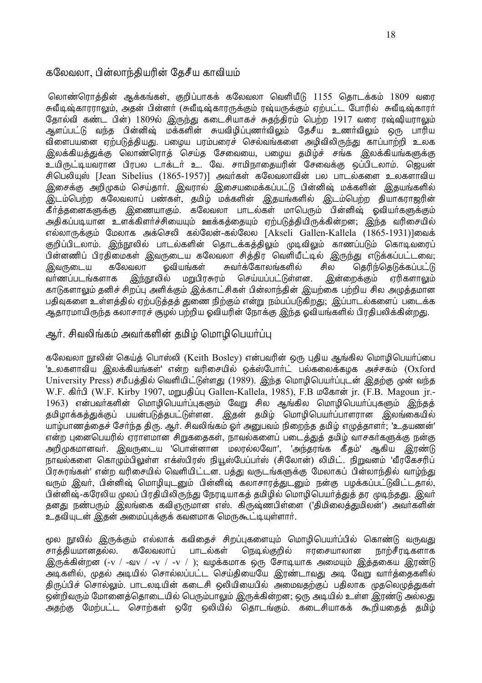## கலேவலா, பின்லாந்தியரின் தேசீய காவியம்

லொண்ரொத்தின் ஆக்கங்கள், குறிப்பாகக் கலேவலா வெளியீடு 1155 தொடக்கம் 1809 வரை சுவீடிஷ்காரராலும், அதன் பின்னர் (சுவீடிஷ்காரருக்கும் ரஷ்யருக்கும் ஏற்பட்ட போரில் சுவீடிஷ்காரர் தோல்வி கண்ட பின்) 1809ல் இருந்து கடைசியாகச் சுதந்திரம் பெற்ற 1917 வரை ரஷ்ஷியராலும் ஆளப்பட்டு வந்த பின்னிஷ் மக்களின் சுயவிழிப்புணர்விலும் தேசீய உணர்விலும் ஒரு பாரிய விளைபயனை ஏற்படுத்தியது. பழைய பரம்பரைச் செல்வங்களை அழிவிலிருந்து காப்பாற்றி உலக இலக்கியத்துக்கு லொண்ரொத் செய்த சேவையை, பழைய தமிழ்ச் சங்க இலக்கியங்களுக்கு உயிருட்டியவரான பிரபல டாக்டர் உ. வே. சாமிநாதையரின் சேவைக்கு ஒப்பிடலாம். ஜெயன் சிபெலியஸ் [Jean Sibelius (1865-1957)] அவர்கள் கலேவலாவின் பல பாடல்களை உலகளாவிய இசைக்கு அறிமுகம் செய்தாா். இவரால் இசையமைக்கப்பட்டு பின்னிஷ் மக்களின் இதயங்களில் இடம்பெற்ற கலேவலாப் பண்கள், தமிழ் மக்களின் இதயங்களில் இடம்பெற்ற தியாகராஜரின் கீர்த்தனைகளுக்கு இணையாகும். கலேவலா பாடல்கள் மாபெரும் பின்னிஷ் ஒவியர்களுக்கும் அதிகப்படியான உளக்கிளர்ச்சியையும் ஊக்கத்தையும் ஏற்படுத்தியிருக்கின்றன; இந்த வரிசையில் எல்லாருக்கும் மேலாக அக்செலி கல்லேன்-கல்லேல [Akseli Gallen-Kallela (1865-1931)]லைக் ஞிப்பிடலாம். இந்நாலில் பாடல்களின் தொடக்கக்கிலும் முடிவிலும் காணப்படும் கொடிவரைப் பின்னணிப் பிரதிமைகள் இவருடைய கலேவலா சித்திர வெளியீட்டில் இருந்து எடுக்கப்பட்டவை; ூலுருடைய கலேவலா ஒவியங்கள் சுவர்க்கோலங்களில் சில தெரிந்தெடுக்கப்பட்டு வா்ணப்படங்களாக இந்நூலில் மறுபிரசுரம் செய்யப்பட்டுள்ளன. இன்றைக்கும் ஏரிகளாலும் காடுகளாலும் தனிச் சிறப்பு அளிக்கும் இக்காட்சிகள் பின்லாந்தின் இயற்கை பற்றிய சில அமுத்தமான பதிவுகளை உள்ளத்தில் ஏற்படுத்தத் துணை நிற்கும் என்று நம்பப்படுகிறது; இப்பாடல்களைப் படைக்க ஆதாரமாயிருந்த கலாசாரச் சூழல் பற்றிய ஓவியரின் நோக்கு இந்த ஓவியங்களில் பிரதிபலிக்கின்<u>றது</u>.

## அர். சிவலிங்கம் அவர்களின் கமிம் மொமிபெயர்ப்ப

கலேவலா நூலின் கெய்த் பொஸ்லி (Keith Bosley) என்பவரின் ஒரு புதிய ஆங்கில மொழிபெயர்ப்பை 'உலகளாவிய இலக்கியங்கள்' என்ற வரிசையில் ஒக்ஸ்போர்ட் பல்கலைக்கழக அச்சகம் (Oxford University Press) சமீபத்தில் வெளியிட்டுள்ளது (1989). இந்த மொழிபெயர்ப்புடன் இதற்கு முன் வந்த W.F. கிர்பி (W.F. Kirby 1907, மறுபதிப்பு Gallen-Kallela, 1985), F.B மகோன் jr. (F.B. Magoun jr.-1963) என்பவர்களின் மொழிபெயர்ப்புகளும் வேறு சில ஆங்கில மொழிபெயர்ப்புகளும் இந்தத் தமிழாக்கத்துக்குப் பயன்படுத்தபட்டுள்ளன. இதன் தமிழ் மொழிபெயா்ப்பாளரான இலங்கையில் யாழ்பாணத்தைச் சேர்ந்த திரு. ஆர். சிவலிங்கம் ஓர் அனுபவம் நிறைந்த தமிழ் எழுத்தாளர்; 'உதயணன்' என்ற புனைபெயரில் ஏராளமான சிறுகதைகள், நாவல்களைப் படைத்துத் தமிழ் வாசகர்களுக்கு நன்கு அறிமுகமானவர். இவருடைய 'பொன்னான மலால்லவோ', 'அந்கரங்க கீகம்' ஆகிய இரண்டு நாவல்களை கொழும்பிலுள்ள எக்ஸ்பிரஸ் நியூஸ்பேப்பர்ஸ் (சிலோன்) லிமிட். நிறுவனம் 'வீரகேசரிப் பிரசுரங்கள்' என்ற வரிசையில் வெளியிட்டன. பத்து வருடங்களுக்கு மேலாகப் பின்லாந்தில் வாழ்ந்<u>து</u> வரும் இவர், பின்னிஷ் மொழியுடனும் பின்னிஷ் கலாசாரத்துடனும் நன்கு பழக்கப்பட்டுவிட்டதால், பின்னிஷ்-கரேலிய முலப் பிரதியிலிருந்து நேரடியாகத் தமிழில் மொழிபெயர்த்துத் தர முடிந்தது. இவர் தனது நண்பரும் இலங்கை கவிஞருமான எஸ். கிருஷ்ணபிள்ளை ('திமிலைத்துமிலன்') அவர்களின் உதவியுடன் இதன் அமைப்புக்குக் கவனமாக மெருகூட்டியுள்ளார்.

rமல நாலில் இருக்கும் எல்லாக் கவிகைச் சிறப்பகளையம் மொமிபெயர்ப்பில் கொண்டு வருவது, சாக்கியமானகல்ல. கலேவலாப் பாடல்கள் நெடில்குறில் ஈரசையாலான நாற்சீரடிகளாக இருக்கின்றன (-v / -வv / -v / -v / ); வழக்கமாக ஒரு சோடியாக அமையும் இத்தகைய இரண்டு ு –<br>அடிகளில், முதல் அடியில் சொல்லப்பட்ட செய்தியையே இரண்டாவது அடி வேறு வார்த்தைகளில் திருப்பிச் சொல்லும். பாடலடியின் கடைசி ஒலியியைபில் அமைவதற்குப் பதிலாக முதலெழுத்துகள் ஒன்றிவரும் மோனைத்தொடையில் பெரும்பாலும் இருக்கின்றன; ஒரு அடியில் உள்ள இரண்டு அல்லது அதற்கு மேற்பட்ட சொற்கள் ஒரே ஒலியில் தொடங்கும். கடைசியாகக் கூறியதைத் தமிழ்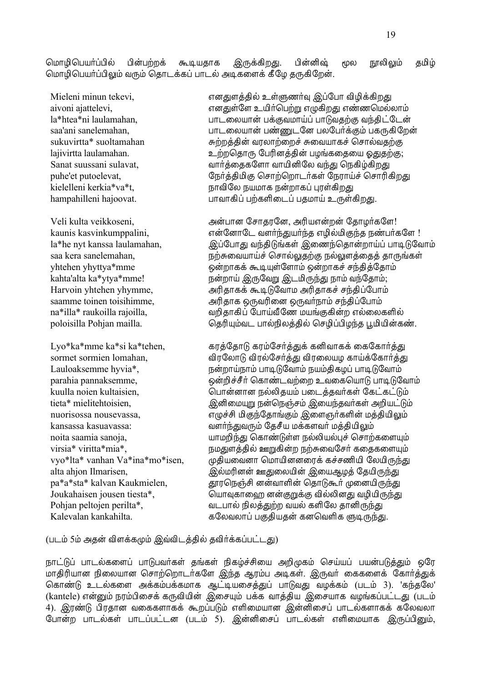மொழிபெயா்ப்பில் பின்பற்றக் கூடியதாக இருக்கிறது. பின்னிஷ் மூல நூலிலும் தமிழ் மொழிபெயர்ப்பிலும் வரும் தொடக்கப் பாடல் அடிகளைக் கீழே தருகிறேன்.

Mieleni minun tekevi, எனதுளத்தில் உள்ளுணர்வு இப்போ விழிக்கிறது aivoni ajattelevi, ±…–˚ß« ج¢˜¶¿¸⁄ ±ÿ¸¢»– ±Ò½¶£¯ƒ°ı la\*htea\*ni laulamahan, ¿°º®ƒ¬°˝ ¿ÏÃÅ£°ˆÙ ¿°ŒÅæ¸Ã ÅÛæ¢ðߺ˝ saa'ani sanelemahan, ¿°º®ƒ¬°˝ ¿Òœºß… ¿ƒß¿˜ÏÃı ¿¸'¸¢ß»˝ sukuvirtta\* suoltamahan *B*oogood <del>&</del> கற்றத்தின் வரலாற்றைச் சுவையாகச் சொல்வதற்கு lajivirtta laulamahan. <br>• உற்றதொரு பேரினத்தின் பழங்கதையை ஓதுதற்கு; Sanat suussani sulavat, Ű˜Ú®æ¸ß«° ۬¢…¢ßƒ ÅÛ– ¶ø¸¢˙¸¢»– puhe'et putoelevat, ßø˜Ú梣¢Ã ¶º°¸¶»°º˜¸˚ ßøÃ°ˆÓ ¶º°Ã¢¸¢»– kielelleni kerkia\*va\*t, ø°Å¢ßƒ ø¬£°¸ ø˝»°¸Ù "Ã˚¸¢»– hampahilleni hajoovat. ¿°Å°¸¢Ù ¿¸¸«¢®ºÙ ¿æ£°ˆ Ø'˚¸¢»–.

 Veli kulta veikkoseni, ´˝¿°… ߺ°æÃß…, ´Ã¢¬±˝»˝ ßæ°Æ˜¸ß«! kaunis kasvinkumppalini, ±˝ß…°ßº Å«˜Û–¬˜Ûæ ±Æ¢¯£¢ÃÛæ øÒ¿˜¸ß« ! la\*he nyt kanssa laulamahan, هان المارى المارى المارى المارى المارى المارى المارى والتي يتبع المارى المارى وال saa kera sanelemahan, "ருற்சுவையாய்ச் சொல்லுதற்கு நல்லுளத்தைத் தாருங்கள் yhtehen yhyttya\*mme ¥˝»°¸Ï ‹ '˚ß«°ı ¥˝»°¸Ó ºÛæ¢Úßæ°ı kahta'alta ka\*ytya\*mme! முன்றாய் இருவேறு இடமிருந்து நாம் வந்தோம்; Harvoin yhtehen yhymme, ´Ã¢æ°¸Ï ‹ ŒßŰ£ ´Ã¢æ°¸Ó ºÛæ¢Ùß¿°ı saamme toinen toisihimme, ´Ã¢æ°¸ ¥'Åâ®… ¥'Řø°ı ºÛæ¢Ùß¿°ı na\*illa\* raukoilla rajoilla, "கோல் சிறிதாகிப் போய்வீணே மயங்குகின்ற எல்லைகளில் poloisilla Pohjan mailla. ¶æÃ¢'ıź ¿°¯ø¢ƒÚ梯 ¶ºÆ¢Ù¿¢ÆÛæ '£¢¬¢˝¸Ò.

Lyo\*ka\*mme ka\*si ka\*tehen, சரத்தோடு கரம்சேர்த்துக் கனிவாகக் கைகோர்த்து sormet sormien lomahan, Å¢Ã߃°Œ Ţïߺ˜Ú– Ţîƒ¬Æ ¸°ˆÏ߸°˜Ú– Lauloaksemme hyvia\*, ø˝»°ˆø°ı ¿° ŒßŰı ø¬ı梸ÆÙ ¿° ŒßŰı parahia pannaksemme, ¥˝»¢Óº£˜ ¶¸°ÒºÅ¸®» ØÅ®¸¶¬°Œ ¿° ŒßŰı kuulla noien kultaisien, ¶¿°˝…°… ø¯ƒ¢æ¬ı ¿®ºÚæÅ˜¸˚ ߸ð¸ðŒı tieta\* mielitehtoisien, ˛…¢®£'⁄ ø˝¶øÔºı ˛®¬ÛæÅ˜¸˚ ´»¢¬ðŒı nuorisossa nousevassa, ±ÿÓº¢ £¢ÃÛßæ°ÌÃı ˛®«ª˜¸«¢˝ £Ú梬¢÷ı kansassa kasuavassa: هو هوالوالي هو الله هوالي هوالي هوالي هوالي هوالي المستخدمة المستخدمة المستخدمة المستخدمة noita saamia sanoja, ¬°£»¢Û– ¶¸°ÒŒ˚« ø¯ƒ¢¬¯"Ó ¶º°¸¸®«'ı  $virsia* viritta*mia*,$  மூடதுளத்தில் ஊறுகின்ற நற்சுவைசேர் கதைகளையும் vyo\*lta\* vanhan Va\*ina\*mo\*isen, முதியவைனா மொயினனரைக் கச்சணியி லேயிருந்து alta ahjon Ilmarisen, ˛¯£Ã¢…˝ °–®ƒ¬¢˝ ˛®¬¨ÆÚ ßæ¬¢'Û– pa\*a\*sta\* kalvan Kaukmielen,  $\frac{4}{\sqrt{2}}$  யாரெஞ்சி னன்வாளின் தொடுகூர் முனையிருந்து Joukahaisen jousen tiesta\*, ¶¬°×¸°®Ü …˝Ã⁄Ïà Ţ¯ƒ¢…– ÅÆ¢¬¢'Û– Pohjan peltojen perilta\*, ź¿°¯ ø¢ƒÚ–¸» Ŭ¯ ¸«¢ßƒ æ°…¢'Û– Kalevalan kankahilta. ¸ßƒÅƒ°Ù ¿Ãæ¢¬æ˝ ¸…¶Å«¢¸ Ÿ 'Û–.

(படம் 5ம் அகன் விளக்கமும் இவ்விடக்கில் கவிர்க்கப்பட்டது)

நாட்டுப் பாடல்களைப் பாடுபவா்கள் தங்கள் நிகழ்ச்சியை அறிமுகம் செய்யப் பயன்படுத்தும் ஒரே .<br>மாதிரியான நிலையான சொற்றொடா்களே இந்த ஆரம்ப அடிகள். இருவா் கைகளைக் கோா்த்துக் தொண்டு உடல்களை அக்கம்பக்கமாக ஆட்டியசைத்துப் பாடுவது வழக்கம் (படம் 3). 'கந்தலே' (kantele) என்னும் நரம்பிசைக் கருவியின் இசையும் பக்க வாத்திய இசையாக வழங்கப்பட்டது (படம் 4). இரண்டு பிரதான வகைகளாகக் கூறப்படும் எளிமையான இன்னிசைப் பாடல்களாகக் கலேவலா போன்ற பாடல்கள் பாடப்பட்டன (படம் 5). இன்னிசைப் பாடல்கள் எளிமையாக இருப்பினும்,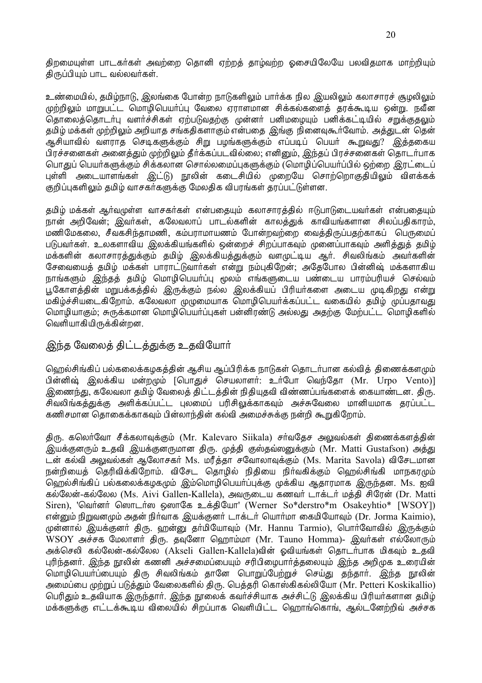திறமையுள்ள பாடகர்கள் அவற்றை தொனி ஏற்றத் தாழ்வற்ற ஓசையிலேயே பலவிதமாக மாற்றியும் திருப்பியும் பாட வல்லவர்கள்.

உண்மையில், தமிழ்நாடு, இலங்கை போன்ற நாடுகளிலும் பார்க்க நில இயலிலும் கலாசாரச் சூழலிலும் முற்றிலும் மாறுபட்ட மொழிபெயர்ப்பு வேலை ஏராளமான சிக்கல்களைத் தரக்கூடிய ஒன்று. நவீன தொலைத்தொடர்பு வளர்ச்சிகள் ஏற்படுவதற்கு முன்னர் பனிமழையும் பனிக்கட்டியில் சறுக்குதலும் தமிழ் மக்கள் முற்றிலும் அறியாத சங்கதிகளாகும் என்பதை ,இங்கு நினைவுகூர்வோம். அத்துடன் தென் ஆசியாவில் வளராத செடிகளுக்கும் சிறு பழங்களுக்கும் எப்படிப் பெயர் கூறுவது? இத்தகைய பிரச்சனைகள் அனைத்தும் முற்றிலும் தீர்க்கப்படவில்லை; எனினும், இந்தப் பிரச்சனைகள் தொடர்பாக பொதுப் பெயர்களுக்கும் சிக்கலான சொல்லமைப்புகளுக்கும் (மொமிப்பெயர்ப்பில் ஒற்றை, இரட்டைப் புள்ளி அடையாளங்கள் இட்டு) நூலின் கடைசியில் முறையே சொற்றொகுதியிலும் விளக்கக் குறிப்புகளிலும் தமிழ் வாசகர்களுக்கு மேலதிக விபரங்கள் தரப்பட்டுள்ளன.

கமிம் மக்கள் ஆர்வமுள்ள வாசகர்கள் என்பகையும் கலாசாரக்கில் ஈடுபாடுடையவர்கள் என்பகையும் நான் அறிவேன்; இவர்கள், கலேவலாப் பாடல்களின் காலத்துக் காவியங்களான சிலப்பதிகாரம், மணிமேகலை, சீவகசிந்தாமணி, கம்பராமாயணம் போன்றவற்றை வைத்திருப்பதற்காகப் பெருமைப் படுபவர்கள். உலகளாவிய இலக்கியங்களில் ஒன்றைச் சிறப்பாகவும் முனைப்பாகவும் அளிக்குக் கமிம் மக்களின் கலாசாரத்துக்கும் தமிழ் இலக்கியத்துக்கும் வளமுட்டிய ஆர். சிவலிங்கம் அவர்களின் சேவையைத் தமிழ் மக்கள் பாராட்டுவார்கள் என்று நம்புகிறேன்; அதேபோல பின்னிஷ் மக்களாகிய நாங்களும் இந்தத் தமிழ் மொழிபெயா்ப்பு மூலம் எங்களுடைய பண்டைய பாரம்பரியச் செல்வம் பூகோளத்தின் மறுபக்கத்தில் இருக்கும் நல்ல இலக்கியப் பிரியா்களை அடைய முடிகிறது என்று .<br>மகிழ்ச்சியடைகிறோம். கலேவலா முழுமையாக மொழிபெயர்க்கப்பட்ட வகையில் தமிழ் முப்பதாவது மொழியாகும்; சுருக்கமான மொழிபெயர்ப்புகள் பன்னிரண்டு அல்லது அதற்கு மேற்பட்ட மொழிகளில் வெளியாகியிருக்கின்றன.

# இந்த வேலைத் திட்டத்துக்கு உதவியோர்

ஹெல்சிங்கிப் பல்கலைக்கழகத்தின் ஆசிய ஆப்பிரிக்க நாடுகள் தொடர்பான கல்வித் திணைக்களமும் பின்னிஷ் இலக்கிய மன்றமும் [பொகுச் செயலாளர்: உர்போ வெந்கோ (Mr. Urpo Vento)] இணைந்து, கலேவலா தமிழ் வேலைத் திட்டத்தின் நிதியுதவி விண்ணப்பங்களைக் கையாண்டன. திரு. சிவலிங்கத்துக்கு அளிக்கப்பட்ட புலமைப் பரிசிலுக்காகவும் அச்சுவேலை மானியமாக தரப்பட்ட கணிசமான தொகைக்காகவும் பின்லாந்தின் கல்வி அமைச்சுக்கு நன்றி கூறுகிறோம்.

திரு. கலெர்வோ சீக்கலாவுக்கும் (Mr. Kalevaro Siikala) சர்வதேச அலுவல்கள் திணைக்களத்தின் இயக்குனரும் உதவி இயக்குனருமான திரு. முத்தி குஸ்தவ்ஸனுக்கும் (Mr. Matti Gustafson) அத்து டன் கல்வி அலுவல்கள் ஆலோசகர் Ms. மரீத்தா சவோலாவுக்கும் (Ms. Marita Savola) விசேடமான நன்றியைத் தெரிவிக்கிறோம். விசேட தொழில் நிதியை நிர்வகிக்கும் ஹெல்சிங்கி மாநகரமும் ஹெல்சிங்கிப் பல்கலைக்கழகமும் இம்மொழிபெயா்ப்புக்கு முக்கிய ஆதாரமாக இருந்தன. Ms. ஐவி கல்லேன்-கல்லேல (Ms. Aivi Gallen-Kallela), அவருடைய கணவர் டாக்டர் மத்தி சிரேன் (Dr. Matti Siren), 'வெர்னர் ஸொடர்ஸ ஔாகே உக்தியோ' (Werner So\*derstro\*m Osakeyhtio\* [WSOY]) என்னும் நிறுவனமும் அதன் நிர்வாக இயக்குனர் டாக்டர் யொர்மா கைமியோவும் (Dr. Jorma Kaimio), முன்னால் இயக்குனர் திரு. ஹன்னு தர்மியோவும் (Mr. Hannu Tarmio), பொர்வோவில் இருக்கும் WSOY அச்சக மேலாளர் திரு. தவுனோ ஹொம்மா (Mr. Tauno Homma)- இவர்கள் எல்லோரும் அக்செலி கல்லேன்-கல்லேல (Akseli Gallen-Kallela)வின் ஓவியங்கள் தொடர்பாக மிகவும் உதவி புரிந்தனா். இந்த நூலின் கணனி அச்சமைப்பையும் சரிபிழைபாா்த்தலையும் இந்த அறிமுக உரையின் மொழிபெயர்ப்பையும் திரு சிவலிங்கம் தானே பொறுப்பேற்றுச் செய்து தந்தார். இந்த நூலின் அமைப்பை முற்றுப் படுத்தும் வேலைகளில் திரு. பெத்தரி கொஸ்கிகல்லியோ (Mr. Petteri Koskikallio) பெரிதும் உதவியாக இருந்தார். இந்த நூலைக் கவர்ச்சியாக அச்சிட்டு இலக்கிய பிரியர்களான தமிழ் மக்களுக்கு எட்டக்கூடிய விலையில் சிறப்பாக வெளியிட்ட வெராங்கொங், ஆல்டனேற்றிவ் அச்சக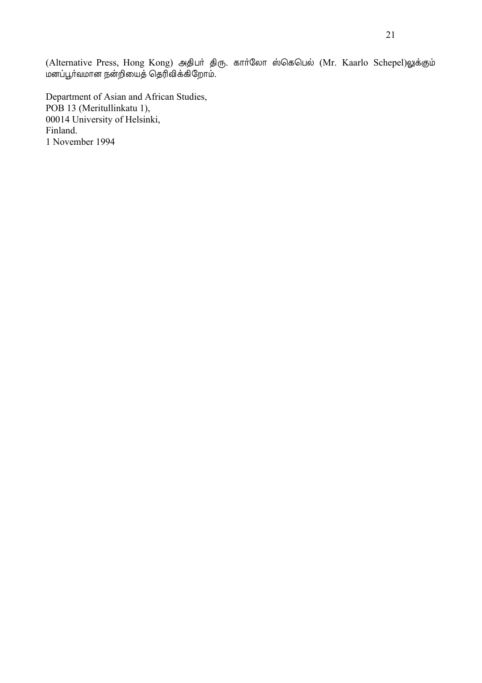(Alternative Press, Hong Kong) அதிபர் திரு. கார்லோ ஸ்கெபெல் (Mr. Kaarlo Schepel)லுக்கும் மனப்பூர்வமான நன்றியைத் தெரிவிக்கிறோம்.

Department of Asian and African Studies, POB 13 (Meritullinkatu 1), 00014 University of Helsinki, Finland. 1 November 1994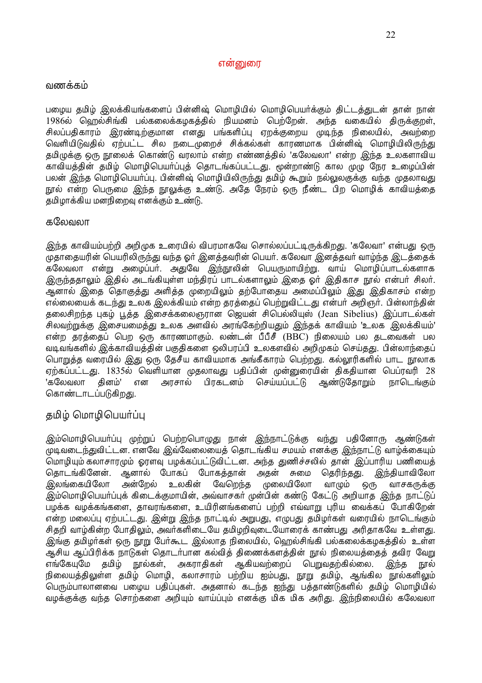#### $\sigma$ ன்னுரை

#### வணக்கம்

பழைய தமிழ் இலக்கியங்களைப் பின்னிஷ் மொழியில் மொழிபெயர்க்கும் திட்டத்துடன் தான் நான் 1986ல் ஹெல்சிங்கி பல்கலைக்கமகத்தில் நியமனம் பெற்றேன். அந்த வகையில் திருக்குறள், சிலப்பதிகாரம் இரண்டிற்குமான எனது பங்களிப்பு ஏறக்குறைய முடிந்த நிலையில், அவற்றை ் வெளியிடுவகில் எற்பட்ட சில நடைமுறைச் சிக்கல்கள் காரணமாக பின்னிஷ் மொமியிலிருந்து தமிழுக்கு ஒரு நூலைக் கொண்டு வரலாம் என்ற எண்ணத்தில் 'கலேவலா' என்ற இந்த உலகளாவிய காவியத்தின் தமிழ் மொழிபெயர்ப்புத் தொடங்கப்பட்டது. மூன்றாண்டு கால முமு நேர உழைப்பின் பலன் இந்த மொழிபெயா்ப்பு. பின்னிஷ் மொழியிலிருந்து தமிழ் கூறும் நல்லுலகுக்கு வந்த முதலாவது நூல் என்ற பெருமை இந்த நூலுக்கு உண்டு. அதே நேரம் ஒரு நீண்ட பிற மொழிக் காவியத்தை தமிழாக்கிய மனநிறைவு எனக்கும் உண்டு.

#### கலேவலா

<u>இந்த</u> காவியம்பற்றி அறிமுக உரையில் விபரமாகவே சொல்லப்பட்டிருக்கிறது. 'கலேவா' என்பது ஒரு முதாதையரின் பெயரிலிருந்து வந்த ஓர் இனத்தவரின் பெயர். கலேவா இனத்தவர் வாழ்ந்த இடத்தைக் கலேவலா என்று அழைப்பா். அதுவே இந்நூலின் பெயருமாயிற்று. வாய் மொழிப்பாடல்களாக ூருந்கதாலம் இதில் அடங்கியள்ள மந்திரப் பாடல்களாலம் இகை லர். இதிகாச நால் என்பர் சிலர். ஆனால் இதை தொகுத்து அளித்த முறையிலும் தற்போதைய அமைப்பிலும் இது இதிகாசம் என்ற எல்லையைக் கடந்து உலக இலக்கியம் என்ற தரத்தைப் பெற்றுவிட்டது என்பர் அறிஞர். பின்லாந்தின் தலைசிறந்த புகழ் பூத்த இசைக்கலைஞரான ஜெயன் சிபெல்லியுஸ் (Jean Sibelius) இப்பாடல்கள் சிலவற்றுக்கு இசையமைத்து உலக அளவில் அரங்கேற்றியதும் இந்தக் காவியம் 'உலக இலக்கியம்' என்ற தாக்கைப் பெற ஒரு காரணமாகும். லண்டன் பீபீசீ (BBC) நிலையம் பல கடவைகள் பல வடிவங்களில் இக்காவியத்தின் பகுதிகளை ஒலிபரப்பி உலகளவில் அறிமுகம் செய்தது. பின்லாந்தைப் பொறுத்த வரையில் இது ஒரு தேசீய காவியமாக அங்கீகாரம் பெற்றது. கல்லூரிகளில் பாட நூலாக ஏற்கப்பட்டது. 1835ல் வெளியான முகலாவது பகிப்பின் முன்றைரயின் கிககியான பெப்ரவரி 28 'கலேவலா தினம்' என அரசால் பிரகடனம் செய்யப்பட்டு ஆண்டுதோறும் நாடெங்கும் கொண்டாடப்படுகிறது.

# தமிழ் மொழிபெயர்ப்பு

இம்மொழிபெயா்ப்பு முற்றுப் பெற்றபொழுது நான் இந்நாட்டுக்கு வந்து பதினோரு ஆண்டுகள் முடிவடைந்துவிட்டன. எனவே இவ்வேலையைத் தொடங்கிய சமயம் எனக்கு இந்நாட்டு வாழ்க்கையும் மொழியும் கலாசாரமும் ஓரளவு பழக்கப்பட்டுவிட்டன. அந்த துணிச்சலில் தான் இப்பாரிய பணியைத் தொடங்கினேன். ஆனால் போகப் போகத்தான் அதன் சுமை தெரிந்தது. இந்தியாவிலோ இலங்கையிலோ அன்றேல் உலகின் வேறெந்த முலையிலோ வாமும் ஒரு வாசகருக்கு இம்மொழிபெயா்ப்புக் கிடைக்குமாயின், அவ்வாசகா் முன்பின் கண்டு கேட்டு அறியாத இந்த நாட்டுப் பழக்க வழக்கங்களை, தாவரங்களை, உயிரினங்களைப் பற்றி எவ்வாறு புரிய வைக்கப் போகிறேன் என்ற மலைப்பு ஏற்பட்டது. இன்று இந்த நாட்டில் அறுபது, எழுபது தமிழர்கள் வரையில் நாடெங்கும் சிகறி வாம்கின்ற போகிலம், அவர்களிடையே கமிமறிவடையோரைக் காண்பது, அரிகாகவே உள்ளது. இங்கு தமிமர்கள் ஒரு நாறு பேர்கூட இல்லாத நிலையில், வெறல்சிங்கி பல்கலைக்கமகத்தில் உள்ள ஆசிய ஆப்பிரிக்க நாடுகள் தொடர்பான கல்வித் திணைக்களத்தின் நூல் நிலையத்தைத் தவிர வேறு எங்கேயுமே தமிழ் நூல்கள், அகராதிகள் அகியவற்றைப் பெறுவதற்கில்லை. இந்த நால் நிலையத்திலுள்ள தமிம் மொமி, கலாசாரம் பற்றிய ஐம்பது, நாறு தமிம், ஆங்கில நால்களிலும் பெரும்பாலானவை பழைய பதிப்புகள். அதனால் கடந்த ஐந்து பத்தாண்டுகளில் தமிழ் மொழியில் வழக்குக்கு வந்த சொற்களை அறியும் வாய்ப்பும் எனக்கு மிக மிக அரிது. இந்நிலையில் கலேவலா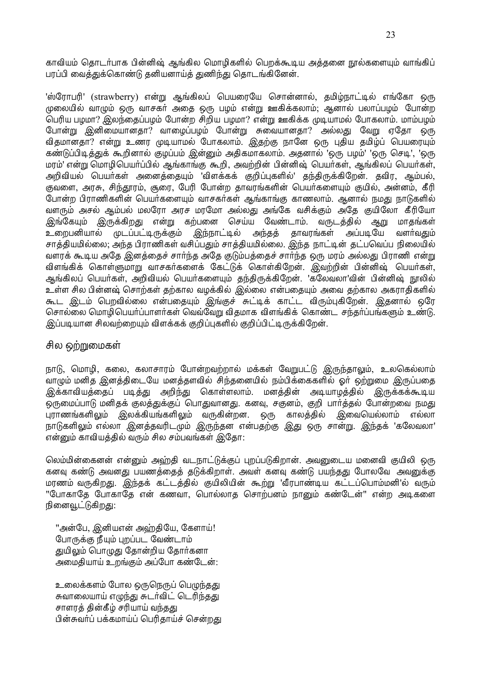காவியம் தொடர்பாக பின்னிஷ் ஆங்கில மொழிகளில் பெறக்கூடிய அத்தனை நூல்களையும் வாங்கிப் பரப்பி வைத்துக்கொண்டு தனியனாய்த் துணிந்து தொடங்கினேன்.

'ஸ்ரோபரி' (strawberry) என்று ஆங்கிலப் பெயரையே சொன்னால், தமிழ்நாட்டில் எங்கோ ஒரு முலையில் வாழும் ஒரு வாசகர் அதை ஒரு பழம் என்று ஊகிக்கலாம்; ஆனால் பலாப்பழம் போன்ற பெரிய பழமா? இலந்தைப்பழம் போன்ற சிறிய பழமா? என்று ஊகிக்க முடியாமல் போகலாம். மாம்பழம் போன்று இனிமையானதா? வாமைப்பமம் போன்று சுவையானதா? அல்லது வேறு ஏதோ ஒரு விதமானதா? என்று உணர முடியாமல் போகலாம். இதற்கு நானே ஒரு புதிய தமிழ்ப் பெயரையும் கண்டுப்பிடித்துக் கூறினால் குழப்பம் இன்னும் அதிகமாகலாம். அதனால் 'ஒரு பழம்' 'ஒரு செடி', 'ஒரு மரம்' என்று மொழிபெயா்ப்பில் ஆங்காங்கு கூறி, அவற்றின் பின்னிஷ் பெயா்கள், ஆங்கிலப் பெயா்கள். அறிவியல் பெயர்கள் அனைத்தையும் 'விளக்கக் குறிப்புகளில்' தந்திருக்கிறேன். தவிர, ஆம்பல், .<br>குவளை, அரசு, சிந்தூரம், சூரை, பேரி போன்ற தாவரங்களின் பெயர்களையும் குயில், அன்னம், கீரி போன்ற பிராணிகளின் பெயர்களையும் வாசகர்கள் ஆங்காங்கு காணலாம். ஆனால் நமது நாடுகளில் வளரும் அசல் ஆம்பல் மலரோ அரச மாமோ அல்லது அங்கே வசிக்கும் அதே குயிலோ கீரியோ இங்கேயும் இருக்கிறது என்று கற்பனை செய்ய வேண்டாம். வருடத்தில் ஆறு மாகங்கள் இந்நாட்டில் உறைபனியால் முடப்பட்டிருக்கும் அந்தத் தாவரங்கள் அப்படியே வளர்வகும் சாக்கியமில்லை; அந்த பிராணிகள் வசிப்பதும் சாக்கியமில்லை. இந்த நாட்டின் கட்பவெப்ப நிலையில் வளரக் கூடிய அதே இனத்தைச் சார்ந்த அதே குடும்பத்தைச் சார்ந்த ஒரு மரம் அல்லது பிராணி என்று விளங்கிக் கொள்ளுமாறு வாசகர்களைக் கேட்டுக் கொள்கிறேன். இவற்றின் பின்னிஷ் பெயர்கள், ஆங்கிலப் பெயர்கள், அறிவியல் பெயர்களையும் தந்திருக்கிறேன். 'கலேவலா'வின் பின்னிஷ் நூலில் உள்ள சில பின்னஷ் சொற்கள் தற்கால வழக்கில் ,இல்லை என்பதையும் அவை தற்கால அகராதிகளில் கூட இடம் பெறவில்லை என்பதையும் இங்குச் சுட்டிக் காட்ட விரும்புகிறேன். இதனால் ஒரே சொல்லை மொழிபெயர்ப்பாளர்கள் வெவ்வேறு விதமாக விளங்கிக் கொண்ட சந்தர்ப்பங்களும் உண்டு. இப்படியான சிலவற்றையும் விளக்கக் குறிப்புகளில் குறிப்பிட்டிருக்கிறேன்.

### சில ஒற்றுமைகள்

நாடு, மொழி, கலை, கலாசாரம் போன்றவற்றால் மக்கள் வேறுபட்டு இருந்தாலும், உலகெல்லாம் வாமும் மனித இனக்கிடையே மனக்களவில் சிந்தனையில் நம்பிக்கைகளில் ஓர் ஒற்றுமை இருப்பதை இக்காவியத்தைப் படித்து அறிந்து கொள்ளலாம். மனத்தின் அடியாழத்தில் இருக்கக்கூடிய ஒருமைப்பாடு மனிதக் குலத்துக்குப் பொதுவானது. கனவு, சகுனம், குறி பார்த்தல் போன்றவை நமது புராணங்களிலும் இலக்கியங்களிலும் வருகின்றன. ஒரு காலத்தில் இவையெல்லாம் எல்லா நாடுகளிலும் எல்லா இனத்தவரிடமும் இருந்தன என்பதற்கு இது ஒரு சான்று. இந்தக் 'கலேவலா' என்னும் காவியத்தில் வரும் சில சம்பவங்கள் இதோ:

லெம்மின்கைனன் என்னும் அஹ்தி வடநாட்டுக்குப் புறப்படுகிறான். அவனுடைய மனைவி குயிலி ஒரு கனவு கண்டு அவனது பயணத்தைத் தடுக்கிறாள். அவள் கனவு கண்டு பயந்தது போலவே அவனுக்கு மரணம் வருகிறது. இந்தக் கட்டத்தில் குயிலியின் கூற்று 'வீரபாண்டிய கட்டப்பொம்மனி'ல் வரும் "போகாதே போகாதே என் கணவா, பொல்லாத சொற்பனம் நானும் கண்டேன்" என்ற அடிகளை நினைவூட்டுகிறது:

''அன்பே, இனியஎன் அவ்றதியே, கேளாய்! போருக்கு நீயம் பறப்பட வேண்டாம் துயிலும் பொழுது தோன்றிய தோர்கனா அமைதியாய் உறங்கும் அப்போ கண்டேன்:

உலைக்களம் போல ஒருநெருப் பெழுந்தது சுவாலையாய் எழுந்து சுடர்விட் டெரிந்தது சாளரத் தின்கீழ் சரியாய் வந்தது பின்சுவர்ப் பக்கமாய்ப் பெரிகாய்ச் சென்றது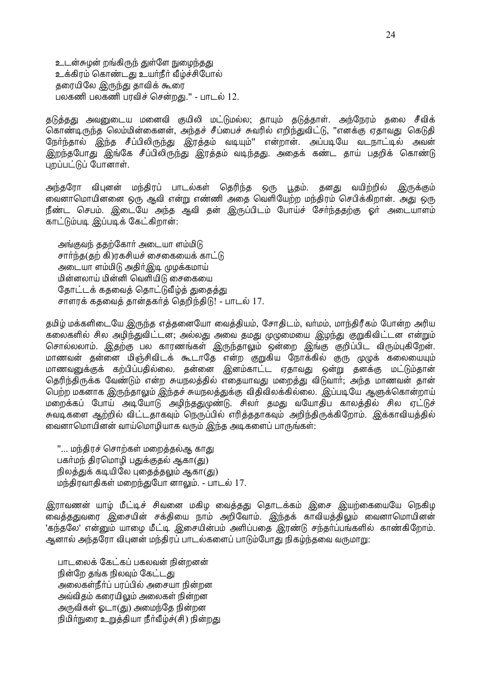உடன்சுழன் றங்கிருந் துள்ளே நுழைந்<u>தது</u> உக்கிரம் கொண்டது உயர்நீர் வீழ்ச்சிபோல் தரையிலே <u>இருந்து</u> தாவிக் கூரை பலகணி பலகணி பரவிச் சென்றது." - பாடல் 12.

தடுத்தது அவனுடைய மனைவி குயிலி மட்டுமல்ல; தாயும் தடுத்தாள். அந்நேரம் தலை சீவிக் கொண்டிருந்த லெம்மின்கைனன், அந்தச் சீப்பைச் சுவரில் எறிந்துவிட்டு, ''எனக்கு ஏதாவது கெடுதி நேர்ந்தால் இந்த சீப்பிலிருந்து இரத்தம் வடியும்'' என்றான். அப்படியே வடநாட்டில் அவன் இறந்தபோது இங்கே சீப்பிலிருந்து இரத்தம் வடிந்தது. அதைக் கண்ட தாய் பதறிக் கொண்டு புறப்பட்டுப் போனாள்.

அந்தரோ விபுனன் மந்திரப் பாடல்கள் தெரிந்த ஒரு பூதம். தனது வயிற்றில் இருக்கும் லைனாமொயினனை ஒரு ஆவி என்று எண்ணி அதை வெளியேற்ற மந்திரம் செபிக்கிறான். அது ஒரு நீண்ட செபம். இடையே அந்த ஆவி தன் இருப்பிடம் போய்ச் சேர்ந்ததற்கு ஓர் அடையாளம் காட்டும்படி இப்படிக் கேட்கிறான்:

அங்குவந் ககற்கோர் அடையா ளம்மிடு சார்ந்த(தற் கி)ரகசியச் சைகையைக் காட்டு அடையா ளம்மிடு அதிர்இடி முழக்கமாய் மின்னலாய் மின்னி வெளியிடு சைகையை தோட்டக் கதவைத் தொட்டுவீழ்த் துதைத்து சாளரக் கதவைத் தான்தகர்த் தெறிந்திடு! - பாடல் 17.

தமிழ் மக்களிடையே இருந்த எத்தனையோ வைத்தியம், சோதிடம், வர்மம், மாந்திரீகம் போன்ற அரிய கலைகளில் சில அழிந்துவிட்டன; அல்லது அவை தமது முழுமையை இழந்து குறுகிவிட்டன என்றும் சொல்லலாம். இதற்கு பல காரணங்கள் இருந்தாலும் ஒன்றை இங்கு குறிப்பிட விரும்புகிறேன். மாணவன் தன்னை மிஞ்சிவிடக் கூடாதே என்ற குறுகிய நோக்கில் குரு முழுக் கலையையும் மாணவனுக்குக் கற்பிப்பதில்லை. தன்னை இனம்காட்ட ஏதாவது ஒன்று தனக்கு மட்டும்தான் தெரிந்திருக்க வேண்டும் என்ற சுயநலத்தில் எதையாவது மறைத்து விடுவார்; அந்த மாணவன் தான் பெற்ற மகனாக இருந்தாலும் இந்தச் சுயநலத்துக்கு விதிவிலக்கில்லை. இப்படியே ஆளுக்கொன்றாய் மறைக்கப் போய் அடியோடு அழிந்ததுமுண்டு. சிலர் தமது வயோதிப காலத்தில் சில ஏட்டுச் சுவடிகளை ஆற்றில் விட்டதாகவும் நெருப்பில் எரித்ததாகவும் அறிந்திருக்கிறோம். இக்காவியத்தில் லைனாமொயினன் வாய்மொழியாக வரும் இந்த அடிகளைப் பாருங்கள்:

"... மந்திரச் சொற்கள் மறைக்கல்ஆ காது பகா்மந் திரமொழி பதுக்குதல் ஆகா(து) நிலத்துக் கடியிலே புதைத்தலும் ஆகா(து) மந்திரவாதிகள் மறைந்துபோ னாலும். - பாடல் 17.

இராவணன் யாழ் மீட்டிச் சிவனை மகிழ வைத்தது தொடக்கம் இசை இயற்கையையே நெகிழ லைத்ததுவரை இசையின் சக்தியை நாம் அறிவோம். இந்தக் காவியத்திலும் வைனாமொயினன் 'கந்தலே' என்னும் யாமை மீட்டி இசையின்பம் அளிப்பதை இரண்டு சந்தா்ப்பங்களில் காண்கிறோம். ..<br>ஆனால் அந்தரோ விபுனன் மந்திரப் பாடல்களைப் பாடும்போது நிகழ்ந்தவை வருமாறு:

பாடலைக் கேட்கப் பகலவன் நின்றனன் நின்றே கங்க நிலவம் கேட்டக<u>ு</u> அலைகள்நீர்ப் பரப்பில் அசையா நின்றன அவ்விதம் கரையிலும் அலைகள் நின்றன அருவிகள் ஓடா(து) அமைந்தே நின்றன நிமிர்நுரை உறுத்தியா நீர்வீம்ச்(சி) நின்றது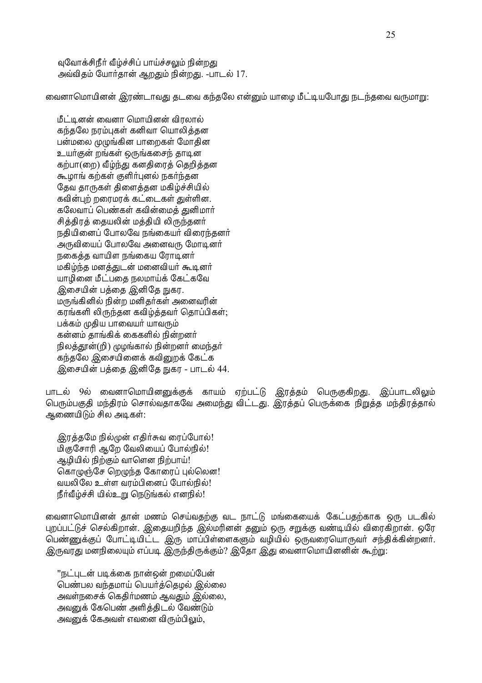வுவோக்சிநீர் வீழ்ச்சிப் பாய்ச்சலும் நின்றது அவ்விதம் யோர்தான் ஆறதும் நின்றது. -பாடல் 17.

வைனாமொயினன் இரண்டாவது தடவை கந்தலே என்னும் யாழை மீட்டியபோது நடந்தவை வருமாறு:

மீட்டினன் வைனா மொயினன் விரலால் கந்தலே நரம்புகள் கனிவா யொலித்தன பன்மலை முமுங்கின பாறைகள் மோதின உயர்குன் றங்கள் ஒருங்கசைந் தாடின கற்பா(றை) வீம்ந்து கனதிரைத் தெறித்தன கூமாங் கற்கள் குளிர்புனல் நகர்ந்தன தேவ தாருகள் திளைத்தன மகிழ்ச்சியில் கவின்புற் றரைமரக் கட்டைகள் துள்ளின. கலேவாப் பெண்கள் கவின்மைக் குனிமார் சித்திரத் தையலின் மத்தியி லிருந்தனர் நதியினைப் போலவே நங்கையர் விரைந்தனர் அருவியைப் போலவே அனைவரு மோடினர் நகைத்த வாயிள நங்கைய ரோடினர் மகிழ்ந்த மனத்துடன் மனைவியர் கூடினர் யாழினை மீட்பதை நலமாய்க் கேட்கவே இசையின் பத்தை இனிதே நுகர. மருங்கினில் நின்ற மனிதர்கள் அனைவரின் கரங்களி லிருந்தன கவிழ்த்தவர் தொப்பிகள்; பக்கம் முதிய பாவையர் யாவரும் கன்னம் தாங்கிக் கைகளில் நின்றனர் நிலத்தூன்(றி) முழங்கால் நின்றனர் மைந்தர் கந்தலே இசையினைக் கவினுறக் கேட்க இசையின் பக்கை இனிகே நுகர - பாடல் 44.

பாடல் 9ல் வைனாமொயினனுக்குக் காயம் ஏற்பட்டு இரத்தம் பெருகுகிறது. இப்பாடலிலும் பெரும்பகுதி மந்திரம் சொல்வதாகவே அமைந்து விட்டது. இரத்தப் பெருக்கை நிறுத்த மந்திரத்தால் ஆணையிடும் சில அடிகள்:

இரத்தமே நில்முன் எதிர்சுவ ரைப்போல்! மிகுசோரி ஆறே வேலியைப் போல்நில்! ஆழியில் நிற்கும் வாளென நிற்பாய்! கொழுஞ்சே றெழுந்த கோரைப் புல்லென! வயலிலே உள்ள வரம்பினைப் போல்நில்! நீர்வீழ்ச்சி யில்உறு நெடுங்கல் எனநில்!

வைனாமொயினன் தான் மணம் செய்வதற்கு வட நாட்டு மங்கையைக் கேட்பதற்காக ஒரு படகில் புறப்பட்டுச் செல்கிறான். இதையறிந்த இல்மரினன் தனும் ஒரு சறுக்கு வண்டியில் விரைகிறான். ஒரே பெண்ணுக்குப் போட்டியிட்ட இரு மாப்பிள்ளைகளும் வழியில் ஒருவரையொருவர் சந்திக்கின்றனர். இருவரது மனநிலையும் எப்படி இருந்திருக்கும்? இதோ இது வைனாமொயினனின் கூற்று:

''நட்படன் படிக்கை நான்ஒன் றமைப்பேன் பெண்பல வந்தமாய் பெயர்த்தெழல் இல்லை அவள்நசைக் கெதிர்மணம் ஆவதும் இல்லை, அவனுக் கேபெண் அளித்திடல் வேண்டும் அவனுக் கேஅவள் எவனை விரும்பிலும்.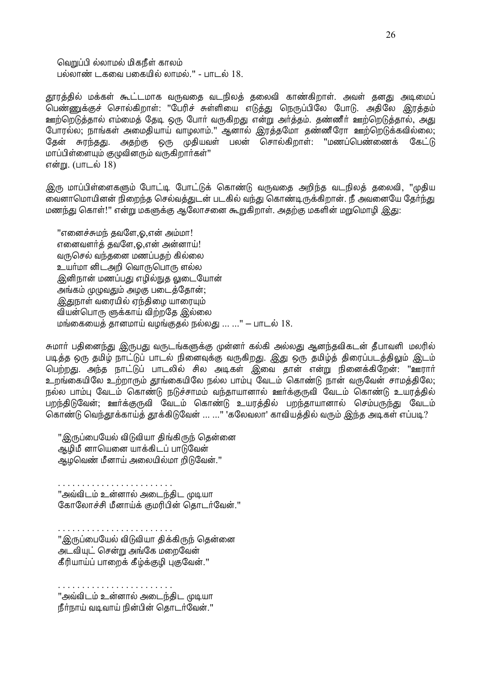வெறுப்பி ல்லாமல் மிகநீள் காலம் பல்லாண் டகவை பகையில் லாமல்." - பாடல்  $18.$ 

தூரத்தில் மக்கள் கூட்டமாக வருவதை வடநிலத் தலைவி காண்கிறாள். அவள் தனது அடிமைப் பெண்ணுக்குச் சொல்கிறாள்: "பேரிச் சுள்ளியை எடுத்து நெருப்பிலே போடு. அதிலே இரத்தம் ஊற்றெடுத்தால் எம்மைத் தேடி ஒரு போர் வருகிறது என்று அர்த்தம். தண்ணீர் ஊற்றெடுத்தால், அது போரல்ல; நாங்கள் அமைதியாய் வாழலாம்.'' ஆனால் இரத்தமோ தண்ணீரோ ஊற்றெடுக்கவில்லை; தேன் சுரந்தது. அதற்கு ஒரு முதியவள் பலன் சொல்கிறாள்: "மணப்பெண்ணைக் கேட்டு மாப்பிள்ளையும் குழுவினரும் வருகிறார்கள்'' என்று. (பாடல் 18)

இரு மாப்பிள்ளைகளும் போட்டி போட்டுக் கொண்டு வருவதை அறிந்த வடநிலத் தலைவி, "முதிய வைனாமொயினன் நிறைந்த செல்வத்துடன் படகில் வந்து கொண்டிருக்கிறான். நீ அவனையே தேர்ந்து மணந்து கொள்!'' என்று மகளுக்கு ஆலோசனை கூறுகிறாள். அதற்கு மகளின் மறுமொழி இது:

"எனைச்சுமந் தவளே,ஓ,என் அம்மா! எனைவளர்க் கவளே.ஓ.என் அன்னாய்! வருசெல் வந்தனை மணப்பதற் கில்லை உயர்மா னிடஅறி வொருபொரு ளல்ல <u>இ</u>னிநான் மணப்பது எழில்நுத லுடையோன் ் அங்கம் முமுவதும் அழகு படைத்தோன்; <u>இது</u>நாள் வரையில் ஏந்திழை யாரையும் வியன்பொரு ளுக்காய் விற்றதே இல்லை மங்கையைத் தானமாய் வழங்குதல் நல்லது ... ..." – பாடல்  $18.$ 

சுமாா் பதினைந்து இருபது வருடங்களுக்கு முன்னா் கல்கி அல்லது ஆனந்தவிகடன் தீபாவளி மலரில் படித்த ஒரு தமிழ் நாட்டுப் பாடல் நினைவுக்கு வருகிறது. இது ஒரு தமிழ்த் திரைப்படத்திலும் இடம் பெற்றது. அந்த நாட்டுப் பாடலில் சில அடிகள் இவை தான் என்று நினைக்கிறேன்: "ஊரார் உறங்கையிலே உற்றாரும் தூங்கையிலே நல்ல பாம்பு வேடம் கொண்டு நான் வருவேன் சாமத்திலே; நல்ல பாம்பு வேடம் கொண்டு நடுச்சாமம் வந்தாயானால் ஊர்க்குருவி வேடம் கொண்டு உயரத்தில் பறந்திடுவேன்; ஊர்க்குருவி வேடம் கொண்டு உயரத்தில் பறந்தாயானால் செம்பருந்து வேடம் ுத்தி ஒரு<br>கொண்டு வெந்தூக்காய்த் தூக்கிடுவேன் ... ..." 'கலேவலா' காவியத்தில் வரும் இந்த அடிகள் எப்படி?

''இருப்பையேல் விடுவியா திங்கிருந் தென்னை ஆமிமீ னாயெனை யாக்கிடப் பாடுவேன் ஆழவெண் மீனாய் அலையில்மா றிடுவேன்.''

. . . . . . . . . . . . . . . . . . . . . . . . ''அவ்விடம் உன்னால் அடைந்திட முடியா கோலோச்சி மீனாய்க் குமரிபின் கொடர்வேன்."

. . . . . . . . . . . . . . . . . . . . . . . . <u>" இருப்பையேல் விடுவியா கிக்கிருந் கென்னை "</u> அடவியுட் சென்று அங்கே மறைவேன் கீரியாய்ப் பாறைக் கீழ்க்குழி புகுவேன்."

. . . . . . . . . . . . . . . . . . . . . . . . "அவ்விடம் உன்னால் அடைந்திட முடியா நீர்நாய் வடிவாய் நின்பின் தொடர்வேன்."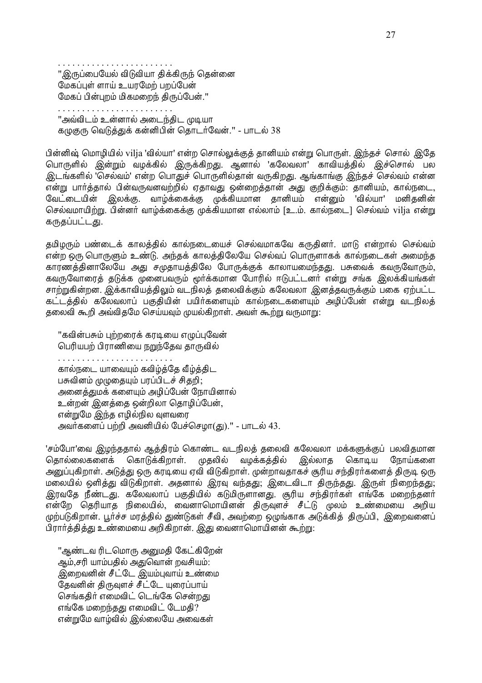''இருப்பையேல் விடுவியா திக்கிருந் தென்னை மேகப்பள் ளாய் உயாமேற் பறப்பேன் மேகப் பின்பறம் மிகமறைந் திருப்பேன்."

''அவ்விடம் உன்னால் அடைந்திட முடியா கமுகுரு வெடுத்துக் கன்னிபின் தொடர்வேன்." - பாடல் 38

பின்னிஷ் மொழியில் vilja 'வில்யா' என்ற சொல்லுக்குத் தானியம் என்று பொருள். இந்தச் சொல் இதே பொருளில் இன்றும் வழக்கில் இருக்கிறது. ஆனால் 'கலேவலா' காவியத்தில் இச்சொல் பல இடங்களில் 'செல்வம்' என்ற பொதுச் பொருளில்தான் வருகிறது. ஆங்காங்கு இந்தச் செல்வம் என்ன என்று பார்த்தால் பின்வருவனவற்றில் ஏதாவது ஒன்றைத்தான் அது குறிக்கும். தானியம், கால்நடை, வேட்டையின் இலக்கு. வாழ்க்கைக்கு முக்கியமான தானியம் என்னும் 'வில்யா' மனிகனின் செல்வமாயிற்று. பின்னர் வாம்க்கைக்கு முக்கியமான எல்லாம் [உ.ம். கால்நடை] செல்வம் vilja என்று கருகப்பட்டகு.

தமிழரும் பண்டைக் காலத்தில் கால்நடையைச் செல்வமாகவே கருதினர். மாடு என்றால் செல்வம் என்ற ஒரு பொருளும் உண்டு. அந்தக் காலத்திலேயே செல்வப் பொருளாகக் கால்நடைகள் அமைந்த காரணத்தினாலேயே அது சமுதாயத்திலே போருக்குக் காலாயமைந்தது. பசுவைக் கவருவோரும், கவருவோரைத் தடுக்க முனைபவரும் மூர்க்கமான போரில் ஈடுபட்டனர் என்று சங்க இலக்கியங்கள் சாற்றுகின்றன. இக்காவியத்திலும் வடநிலத் தலைவிக்கும் கலேவலா இனத்தவருக்கும் பகை ஏற்பட்ட கட்டத்தில் கலேவலாப் பகுதியின் பயிர்களையும் கால்நடைகளையும் அழிப்பேன் என்று வடநிலத் தலைவி கூறி அவ்விதமே செய்யவும் முயல்கிறாள். அவள் கூற்று வருமாறு:

''கவின்பசும் புற்றரைக் கரடியை எமுப்புவேன் பெரியபற் பிராணியை நறுந்தேவ தாருவில் . . . . . . . . . . . . . . . கால்நடை யாவையும் கவிழ்த்தே வீழ்த்திட பசுவினம் முழுதையும் பரப்பிடச் சிதறி; அனைத்துமக் களையும் அழிப்பேன் நோயினால் உன்றன் இனத்தை ஒன்றிலா தொழிப்பேன், என்றுமே இந்த எழில்நில வுளவரை அவர்களைப் பற்றி அவனியில் பேச்செழா(து).'' - பாடல் 43.

'சம்போ'வை இழந்ததால் ஆத்திரம் கொண்ட வடநிலத் தலைவி கலேவலா மக்களுக்குப் பலவிதமான தொல்லைகளைக் கொடுக்கிறாள். முதலில் வழக்கத்தில் இல்லாத கொடிய நோய்களை அனுப்புகிறாள். அடுத்து ஒரு கரடியை ஏவி விடுகிறாள். முன்றாவதாகச் சூரிய சந்திரர்களைத் திருடி ஒரு மலையில் ஒளித்து விடுகிறாள். அதனால் இரவு வந்தது; இடைவிடா திருந்தது. இருள் நிறைந்தது; இரவதே நீண்டது. கலேவலாப் பகுதியில் கடுமிருளானது. சூரிய சந்திரா்கள் எங்கே மறைந்தனா் .<br>என்றே தெரியாத நிலையில், வைனாமொயினன் திருவுளச் சீட்டு முலம் உண்மையை அறிய முற்படுகிறான். பூர்ச்ச மரத்தில் துண்டுகள் சீவி, அவற்றை ஒழுங்காக அடுக்கித் திருப்பி, இறைவனைப் பிரார்த்தித்து உண்மையை அறிகிறான். இது வைனாமொயினன் கூற்று:

"ஆண்டவ ரிடமொரு அனுமதி கேட்கிறேன் ஆம்,சரி யாம்பதில் அதுவொன் றவசியம்: இறைவனின் சீட்டே *இ*யம்புவாய் உண்மை தேவனின் திருவுளச் சீட்டே யுரைப்பாய் செங்கதிர் எமைவிட் டெங்கே சென்றது எங்கே மறைந்தது எமைவிட் டேமதி? என்றுமே வாம்வில் இல்லையே அவைகள்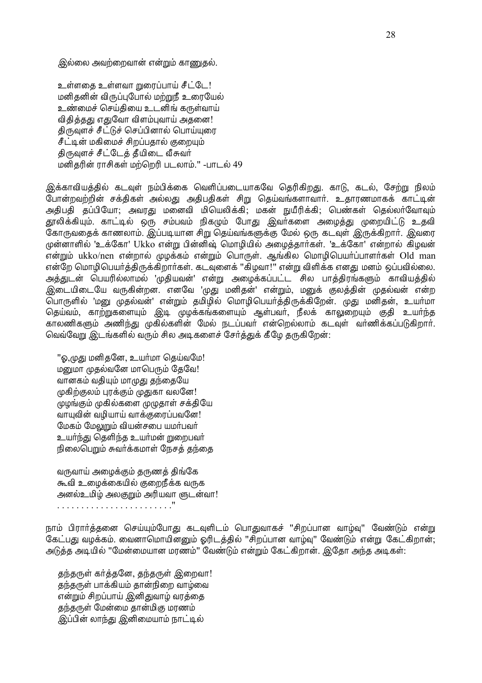இல்லை அவற்றைவான் என்றும் காணுதல்.

உள்ளகை உள்ளவா mரைப்பாய் சீட்டே! மனிதனின் விருப்புபோல் மற்றுநீ உரையேல் உண்மைச் செய்தியை உடனிங் கருள்வாய் விதித்தது எதுவோ விளம்புவாய் அதனை! திருவுளச் சீட்டுச் செப்பினால் பொய்யுரை சீட்டின் மகிமைச் சிறப்பதால் குறையும் திருவுளச் சீட்டேத் தீயிடை வீசுவர் மனிகரின் ராசிகள் மற்றெரி படலாம்." -பாடல் 49

இக்காவியத்தில் கடவுள் நம்பிக்கை வெளிப்படையாகவே தெரிகிறது. காடு, கடல், சேற்று நிலம் போன்றவற்றின் சக்திகள் அல்லது அதிபதிகள் சிறு தெய்வங்களாவார். உதாரணமாகக் காட்டின் அதிபதி தப்பியோ: அவரது மனைவி மியெலிக்கி; மகன் நுயீரிக்கி; பெண்கள் கெல்லர்வோவம் தூலிக்கியும். காட்டில் ஒரு சம்பவம் நிகழும் போது இவர்களை அழைத்து முறையிட்டு உதவி கோருவதைக் காணலாம். இப்படியான சிறு தெய்வங்களுக்கு மேல் ஒரு கடவுள் இருக்கிறார். இவரை முன்னாளில் 'உக்கோ' Ukko என்று பின்னிஷ் மொமியில் அமைக்கார்கள். 'உக்கோ' என்றால் கிமவன் .<br>என்றும் ukko/nen என்றால் முழக்கம் என்றும் பொருள். ஆங்கில மொழிபெயா்ப்பாளா்கள் Old man என்றே மொழிபெயர்த்திருக்கிறார்கள். கடவுளைக் "கிழவா!" என்று விளிக்க எனது மனம் ஒப்பவில்லை. அத்துடன் பெயரில்லாமல் 'முதியவன்' என்று அழைக்கப்பட்ட சில பாத்திரங்களும் காவியத்தில் இடையிடையே வருகின்றன. எனவே 'முது மனிதன்' என்றும், மனுக் குலத்தின் முதல்வன் என்ற பொருளில் 'மனு முதல்வன்' என்றும் தமிழில் மொழிபெயர்த்திருக்கிறேன். முது மனிதன், உயர்மா தெய்வம், காற்றுகளையும் இடி முழக்கங்களையும் ஆள்பவர், நீலக் காலுறையும் குதி உயர்ந்த காலணிகளும் அணிந்து முகில்களின் மேல் நடப்பவர் என்றெல்லாம் கடவுள் வர்ணிக்கப்படுகிறார். வெவ்வேறு இடங்களில் வரும் சில அடிகளைச் சேர்த்துக் கீழே தருகிறேன்:

''ஓ,முது மனிதனே, உயர்மா தெய்வமே! மனுமா முகல்வனே மாபெரும் கேவே! வானகம் வதியும் மாமுது தந்தையே முகிற்குலம் புரக்கும் முதுகா வலனே! முழங்கும் முகில்களை முழுதாள் சக்தியே வாயுவின் வழியாய் வாக்குரைப்பவனே! மேகம் மேலுறும் வியன்சபை யமர்பவர் உயா்ந்து தெளிந்த உயா்மன் றுறைபவா் நிலைபெறும் சுவர்க்கமாள் நேசக் கந்தை

வருவாய் அமைக்கும் தருணத் திங்கே கூவி உழைக்கையில் குறைநீக்க வருக அனல்உமிழ் அலகுறும் அரியவா ளுடன்வா! 

நாம் பிரார்த்தனை செய்யும்போது கடவுளிடம் பொதுவாகச் "சிறப்பான வாழ்வு" வேண்டும் என்று கேட்பது வழக்கம். வைனாமொயினனும் ஓரிடத்தில் "சிறப்பான வாழ்வு" வேண்டும் என்று கேட்கிறான்; அடுக்க அடியில் ''மேன்மையான மரணம்'' வேண்டும் என்றும் கேட்கிறான். இகோ அந்த அடிகள்:

கந்தருள் கர்த்தனே, தந்தருள் இறைவா! கந்தருள் பாக்கியம் கான்நிறை வாம்வை என்றும் சிறப்பாய் இனிதுவாழ் வரத்தை தந்தருள் மேன்மை தான்மிகு மரணம் .<br>இப்பின் லாந்து இனிமையாம் நாட்டில்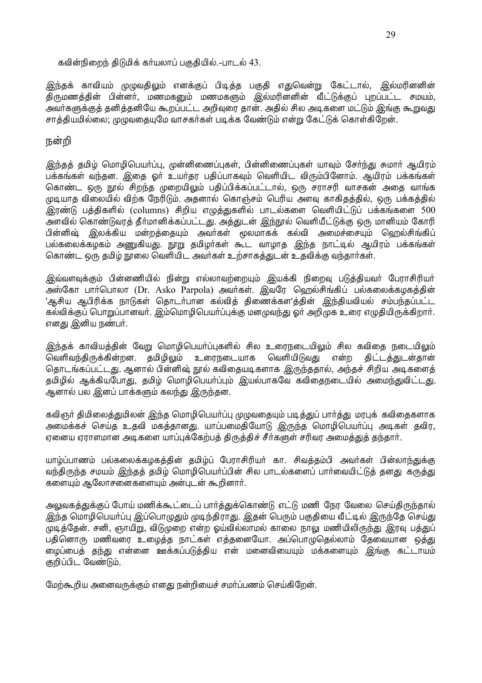#### கவின்நிறைந் திடுமிக் கர்யலாப் பகுதியில்.-பாடல் 43.

இந்தக் காவியம் முமுவதிலும் எனக்குப் பிடித்த பகுதி எதுவென்று கேட்டால், இல்மரினனின் திருமணத்தின் பின்னர், மணமகனும் மணமகளும் இல்மரினனின் வீட்டுக்குப் புறப்பட்ட சமயம், அவர்களுக்குத் தனித்தனியே கூறப்பட்ட அறிவுரை தான். அதில் சில அடிகளை மட்டும் இங்கு கூறுவது சாத்தியமில்லை; முமுவதையுமே வாசகர்கள் படிக்க வேண்டும் என்று கேட்டுக் கொள்கிறேன்.

### நன்றி

இந்தத் தமிழ் மொழிபெயர்ப்பு, முன்னிணைப்புகள், பின்னிணைப்புகள் யாவும் சேர்ந்து சுமார் ஆயிரம் பக்கங்கள் வந்தன. இதை ஓர் உயர்கர பதிப்பாகவும் வெளியிட விரும்பினோம். ஆயிரம் பக்கங்கள் கொண்ட ஒரு நூல் சிறந்த முறையிலும் பதிப்பிக்கப்பட்டால், ஒரு சராசரி வாசகன் அதை வாங்க முடியாத விலையில் விற்க நேரிடும். அதனால் கொஞ்சம் பெரிய அளவு காகிதத்தில், ஒரு பக்கத்தில் இரண்டு பத்திகளில் (columns) சிறிய எழுத்துகளில் பாடல்களை வெளியிட்டுப் பக்கங்களை 500 அளவில் கொண்டுவரத் தீர்மானிக்கப்பட்டது. அத்துடன் இந்நூல் வெளியீட்டுக்கு ஒரு மானியம் கோரி பின்னிஷ் இலக்கிய மன்றத்தையும் அவர்கள் மூலமாகக் கல்வி அமைச்சையும் ஹெல்சிங்கிப் பல்கலைக்கழகம் அணுகியது. நூறு தமிழர்கள் கூட வாழாத இந்த நாட்டில் ஆயிரம் பக்கங்கள் கொண்ட ஒரு தமிழ் நூலை வெளியிட அவர்கள் உற்சாகத்துடன் உதவிக்கு வந்தார்கள்.

இவ்வளவுக்கும் பின்னணியில் நின்று எல்லாவற்றையும் இயக்கி நிறைவு படுத்தியவர் பேராசிரியர் அஸ்கோ பார்பொலா (Dr. Asko Parpola) அவர்கள். இவரே ஹெல்சிங்கிப் பல்கலைக்கழகத்தின் 'ஆசிய ஆபிரிக்க நாடுகள் தொடர்பான கல்வித் திணைக்கள'த்தின் இந்தியவியல் சம்பந்தப்பட்ட கல்விக்குப் பொறுப்பானவர். இம்மொழிபெயர்ப்புக்கு மனமுவந்து ஓர் அறிமுக உரை எழுதியிருக்கிறார். எனது இனிய நண்பர்.

இந்தக் காவியத்தின் வேறு மொழிபெயர்ப்புகளில் சில உரைநடையிலும் சில கவிதை நடையிலும் வெளிவந்திருக்கின்றன. தமிழிலும் உரைநடையாக வெளியிடுவது என்ற திட்டத்துடன்தான் தொடங்கப்பட்டது. ஆனால் பின்னிஷ் நூல் கவிதையடிகளாக இருந்ததால், அந்தச் சிறிய அடிகளைத் தமிழில் ஆக்கியபோது, தமிழ் மொழிபெயர்ப்பும் இயல்பாகவே கவிதைநடையில் அமைந்துவிட்டது. ஆனால் பல இனப் பாக்களும் கலந்து இருந்தன.

கவிஞர் திமிலைத்துமிலன் இந்த மொழிபெயர்ப்பு முழுவதையும் படித்துப் பார்த்து மரபுக் கவிதைகளாக அமைக்கச் செய்த உதவி மகத்தானது. யாப்பமைதியோடு இருந்த மொழிபெயா்ப்பு அடிகள் தவிர, ஏனைய ஏராளமான அடிகளை யாப்புக்கேற்பத் திருத்திச் சீர்களுள் சரிவர அமைத்துத் தந்தார்.

யாழ்ப்பாணம் பல்கலைக்கழகத்தின் தமிழ்ப் பேராசிரியர் கா. சிவத்தம்பி அவர்கள் பின்லாந்துக்கு வந்திருந்த சமயம் இந்தத் தமிழ் மொழிபெயர்ப்பின் சில பாடல்களைப் பார்வையிட்டுத் தனது கருத்து களையும் ஆலோசனைகளையும் அன்புடன் கூறினார்.

அலுவகத்துக்குப் போய் மணிக்கூட்டைப் பார்த்துக்கொண்டு எட்டு மணி நேர வேலை செய்திருந்தால் இந்த மொழிபெயா்ப்பு இப்பொழுதும் முடிந்திராது. இதன் பெரும் பகுதியை வீட்டில் இருந்தே செய்து முடித்தேன். சனி, ஞாயிறு, விடுமுறை என்ற ஓய்வில்லாமல் காலை நாலு மணியிலிருந்து இரவு பத்துப் பதினொரு மணிவரை உழைத்த நாட்கள் எத்தனையோ. அப்பொழுதெல்லாம் கேவையான ஒக்கு ழைப்பைத் தந்து என்னை ஊக்கப்படுத்திய என் மனைவியையும் மக்களையும் இங்கு கட்டாயம் குறிப்பிட வேண்டும்.

மேற்கூறிய அனைவருக்கும் எனது நன்றியைச் சமர்ப்பணம் செய்கிறேன்.